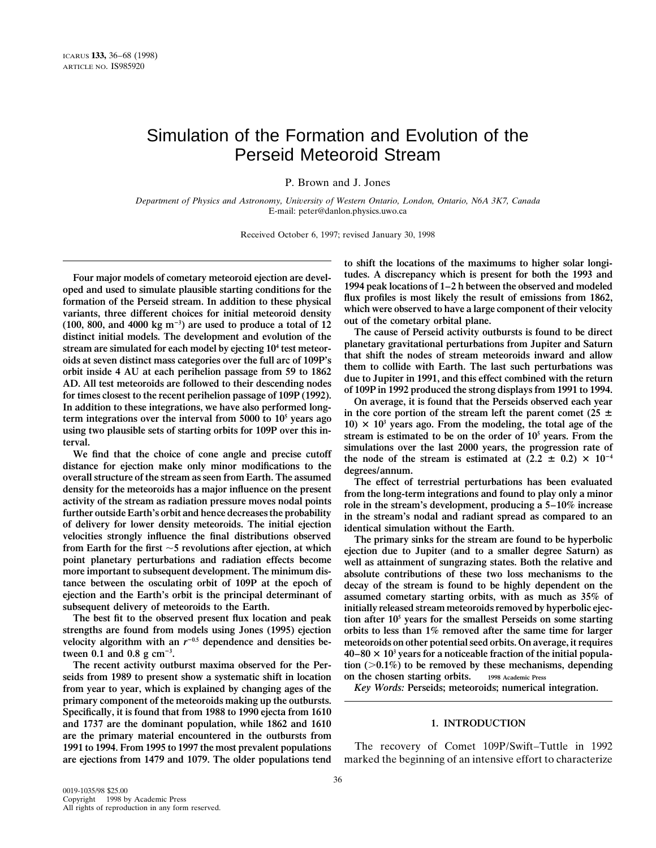# Simulation of the Formation and Evolution of the Perseid Meteoroid Stream

P. Brown and J. Jones

*Department of Physics and Astronomy, University of Western Ontario, London, Ontario, N6A 3K7, Canada* E-mail: peter@danlon.physics.uwo.ca

Received October 6, 1997; revised January 30, 1998

Four major models of cometary meteoroid ejection are develues. A discrepancy which is present for both the 1993 and<br>oped and used to simulate plausible starting conditions for the<br>formation of the Perseid stream. In addit (100, 800, and 4000 kg m<sup>-3</sup>) are used to produce a total of 12<br>
dustinct initial models. The development and evolution of the Club are the culture of Perseid activity outbursts is found to be direct<br>
and distinct initial

distance for ejection make only minor modifications to the<br>overall structure of the stream as seen from Earth. The assumed<br>density for the meteoroids has a major influence on the present<br>activity of the stream as radiation of delivery for lower density meteoroids. The initial ejection<br>velocities strongly influence the final distributions observed<br>from Earth for the first  $\sim$  5 revolutions after ejection, at which<br>point planetary perturbati

strengths are found from models using Jones (1995) ejection orbits to less than 1% removed after the same time for larger<br>velocity algorithm with an  $r^{-0.5}$  dependence and densities be-<br>meteoroids on other potential seed tween 0.1 and 0.8 g  $cm^{-3}$ .

seids from 1989 to present show a systematic shift in location **from year to year, which is explained by changing ages of the** *Key Words:* **Perseids; meteoroids; numerical integration. primary component of the meteoroids making up the outbursts. Specifically, it is found that from 1988 to 1990 ejecta from 1610 and 1737 are the dominant population, while 1862 and 1610 1. INTRODUCTION are the primary material encountered in the outbursts from 1991 to 1994. From 1995 to 1997 the most prevalent populations** The recovery of Comet 109P/Swift–Tuttle in 1992 **are ejections from 1479 and 1079. The older populations tend** marked the beginning of an intensive effort to characterize

**to shift the locations of the maximums to higher solar longi-**

**tance between the osculating orbit of 109P at the epoch of decay of the stream is found to be highly dependent on the ejection and the Earth's orbit is the principal determinant of assumed cometary starting orbits, with as much as 35% of** initially released stream meteoroids removed by hyperbolic ejec-**The best fit to the observed present flux location and peak tion after 105 years for the smallest Perseids on some starting velocity algorithm with an** *r*2**0.5 dependence and densities be- meteoroids on other potential seed orbits. On average, it requires**  $40-80 \times 10^3$  years for a noticeable fraction of the initial popula-The recent activity outburst maxima observed for the Per-<br>
ids from 1989 to present show a systematic shift in location on the chosen starting orbits.  $\circ$  1998 Academic Press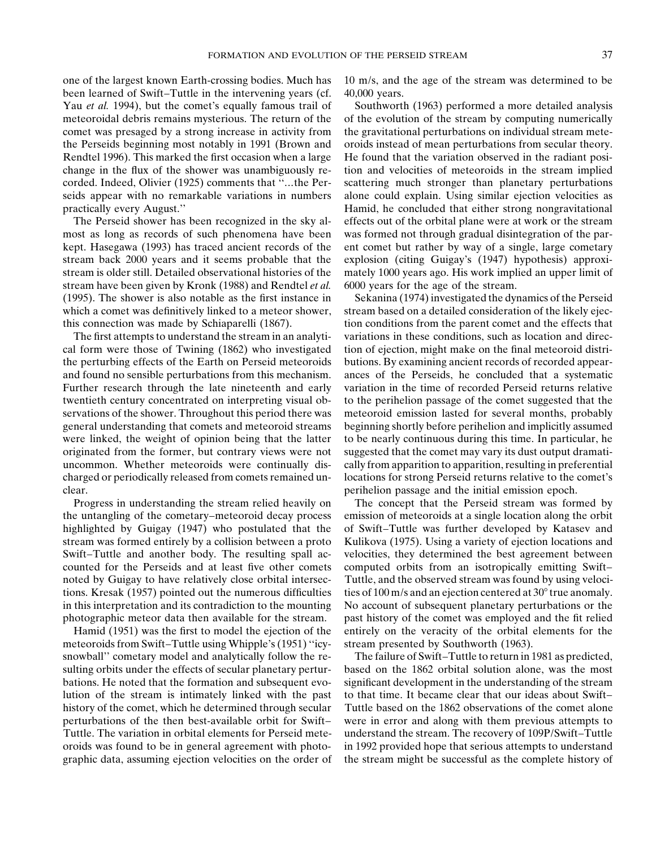been learned of Swift–Tuttle in the intervening years (cf. 40,000 years. Yau *et al.* 1994), but the comet's equally famous trail of Southworth (1963) performed a more detailed analysis meteoroidal debris remains mysterious. The return of the of the evolution of the stream by computing numerically comet was presaged by a strong increase in activity from the gravitational perturbations on individual stream mete-Rendtel 1996). This marked the first occasion when a large He found that the variation observed in the radiant posicorded. Indeed, Olivier (1925) comments that ''...the Per- scattering much stronger than planetary perturbations

most as long as records of such phenomena have been was formed not through gradual disintegration of the parstream back 2000 years and it seems probable that the explosion (citing Guigay's (1947) hypothesis) approxistream have been given by Kronk (1988) and Rendtel *et al.* 6000 years for the age of the stream. (1995). The shower is also notable as the first instance in Sekanina (1974) investigated the dynamics of the Perseid which a comet was definitively linked to a meteor shower, stream based on a detailed consideration of the likely ejecthis connection was made by Schiaparelli (1867). tion conditions from the parent comet and the effects that

cal form were those of Twining (1862) who investigated tion of ejection, might make on the final meteoroid distrithe perturbing effects of the Earth on Perseid meteoroids butions. By examining ancient records of recorded appearand found no sensible perturbations from this mechanism. ances of the Perseids, he concluded that a systematic Further research through the late nineteenth and early variation in the time of recorded Perseid returns relative twentieth century concentrated on interpreting visual ob- to the perihelion passage of the comet suggested that the servations of the shower. Throughout this period there was meteoroid emission lasted for several months, probably general understanding that comets and meteoroid streams beginning shortly before perihelion and implicitly assumed were linked, the weight of opinion being that the latter to be nearly continuous during this time. In particular, he originated from the former, but contrary views were not suggested that the comet may vary its dust output dramatiuncommon. Whether meteoroids were continually dis- cally from apparition to apparition, resulting in preferential charged or periodically released from comets remained un- locations for strong Perseid returns relative to the comet's clear. perihelion passage and the initial emission epoch.

meteoroids from Swift–Tuttle using Whipple's (1951) ''icy- stream presented by Southworth (1963). snowball" cometary model and analytically follow the re-<br>The failure of Swift–Tuttle to return in 1981 as predicted,

one of the largest known Earth-crossing bodies. Much has 10 m/s, and the age of the stream was determined to be

the Perseids beginning most notably in 1991 (Brown and oroids instead of mean perturbations from secular theory. change in the flux of the shower was unambiguously re- tion and velocities of meteoroids in the stream implied seids appear with no remarkable variations in numbers alone could explain. Using similar ejection velocities as practically every August.'' Hamid, he concluded that either strong nongravitational The Perseid shower has been recognized in the sky al-<br>effects out of the orbital plane were at work or the stream kept. Hasegawa (1993) has traced ancient records of the ent comet but rather by way of a single, large cometary stream is older still. Detailed observational histories of the mately 1000 years ago. His work implied an upper limit of

The first attempts to understand the stream in an analyti-<br>variations in these conditions, such as location and direc-

Progress in understanding the stream relied heavily on The concept that the Perseid stream was formed by the untangling of the cometary–meteoroid decay process emission of meteoroids at a single location along the orbit highlighted by Guigay (1947) who postulated that the of Swift–Tuttle was further developed by Katasev and stream was formed entirely by a collision between a proto Kulikova (1975). Using a variety of ejection locations and Swift–Tuttle and another body. The resulting spall ac- velocities, they determined the best agreement between counted for the Perseids and at least five other comets computed orbits from an isotropically emitting Swift– noted by Guigay to have relatively close orbital intersec-<br>Tuttle, and the observed stream was found by using velocitions. Kresak (1957) pointed out the numerous difficulties ties of 100 m/s and an ejection centered at 30 $^{\circ}$  true anomaly. in this interpretation and its contradiction to the mounting No account of subsequent planetary perturbations or the photographic meteor data then available for the stream. past history of the comet was employed and the fit relied Hamid (1951) was the first to model the ejection of the entirely on the veracity of the orbital elements for the

sulting orbits under the effects of secular planetary pertur- based on the 1862 orbital solution alone, was the most bations. He noted that the formation and subsequent evo- significant development in the understanding of the stream lution of the stream is intimately linked with the past to that time. It became clear that our ideas about Swift– history of the comet, which he determined through secular Tuttle based on the 1862 observations of the comet alone perturbations of the then best-available orbit for Swift– were in error and along with them previous attempts to Tuttle. The variation in orbital elements for Perseid mete- understand the stream. The recovery of 109P/Swift–Tuttle oroids was found to be in general agreement with photo- in 1992 provided hope that serious attempts to understand graphic data, assuming ejection velocities on the order of the stream might be successful as the complete history of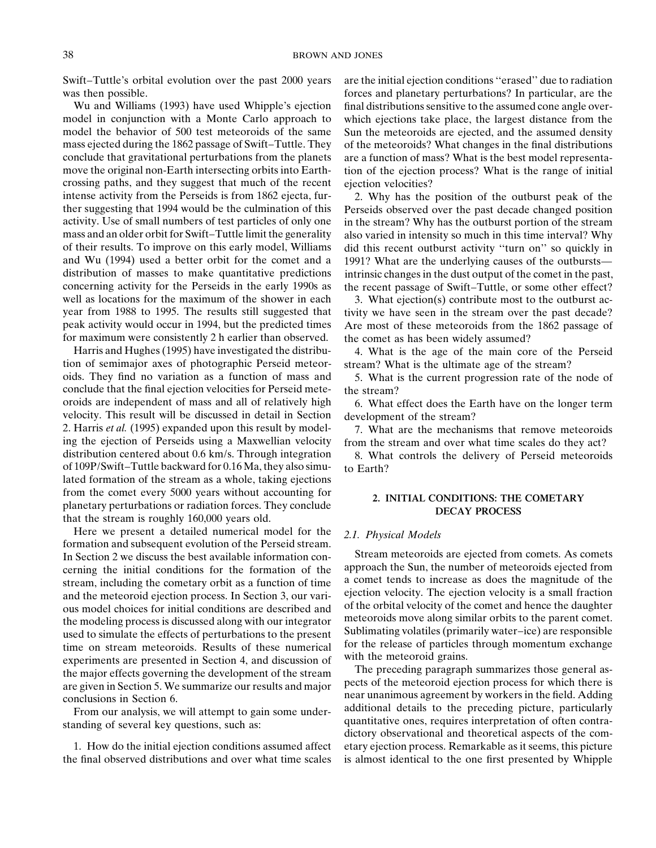Swift–Tuttle's orbital evolution over the past 2000 years are the initial ejection conditions ''erased'' due to radiation was then possible. **forces** and planetary perturbations? In particular, are the

model in conjunction with a Monte Carlo approach to which ejections take place, the largest distance from the model the behavior of 500 test meteoroids of the same Sun the meteoroids are ejected, and the assumed density mass ejected during the 1862 passage of Swift–Tuttle. They of the meteoroids? What changes in the final distributions conclude that gravitational perturbations from the planets are a function of mass? What is the best model representamove the original non-Earth intersecting orbits into Earth- tion of the ejection process? What is the range of initial crossing paths, and they suggest that much of the recent ejection velocities? intense activity from the Perseids is from 1862 ejecta, fur- 2. Why has the position of the outburst peak of the ther suggesting that 1994 would be the culmination of this Perseids observed over the past decade changed position activity. Use of small numbers of test particles of only one in the stream? Why has the outburst portion of the stream<br>mass and an older orbit for Swift-Tuttle limit the generality also varied in intensity so much in this of their results. To improve on this early model, Williams did this recent outburst activity ''turn on'' so quickly in and Wu (1994) used a better orbit for the comet and a 1991? What are the underlying causes of the outbursts distribution of masses to make quantitative predictions intrinsic changes in the dust output of the comet in the past, concerning activity for the Perseids in the early 1990s as the recent passage of Swift–Tuttle, or some other effect? well as locations for the maximum of the shower in each 3. What ejection(s) contribute most to the outburst acfor maximum were consistently 2 h earlier than observed. the comet as has been widely assumed?

tion of semimajor axes of photographic Perseid meteor- stream? What is the ultimate age of the stream? oids. They find no variation as a function of mass and 5. What is the current progression rate of the node of conclude that the final ejection velocities for Perseid mete- the stream? oroids are independent of mass and all of relatively high 6. What effect does the Earth have on the longer term velocity. This result will be discussed in detail in Section development of the stream? 2. Harris *et al.* (1995) expanded upon this result by model- 7. What are the mechanisms that remove meteoroids ing the ejection of Perseids using a Maxwellian velocity from the stream and over what time scales do they act?<br>distribution centered about 0.6 km/s. Through integration 8 What controls the delivery of Perseid meteoroid of 109P/Swift–Tuttle backward for 0.16 Ma, they also simu- to Earth? lated formation of the stream as a whole, taking ejections from the comet every 5000 years without accounting for<br>
planetary perturbations or radiation forces. They conclude<br> **2. INITIAL CONDITIONS: THE COMETARY**<br> **DECAY PROCESS**<br> **DECAY PROCESS** 

Here we present a detailed numerical model for the 2.1. Physical Models<br>formation and subsequent evolution of the Perseid stream.<br>In Section 2 we discuss the best available information constrains the sun, the number of met cerning the initial conditions for the formation of the approach the Sun, the number of meteoroids ejected from<br>stream including the cometary orbit as a function of time a comet tends to increase as does the magnitude of t stream, including the cometary orbit as a function of time<br>and the meteoroid ejection process. In Section 3, our vari-<br>ous model choices for initial conditions are described and<br>the orbital velocity of the comet and hence the modeling process is discussed along with our integrator<br>used to simulate the effects of perturbations to the present<br>time on stream meteoroids. Results of these numerical<br>for the release of particles through momentum e experiments are presented in Section 4, and discussion of<br>the meteoroid grains.<br>the major effects governing the development of the stream<br>are given in Section 5. We summarize our results and major<br>conclusions in Section 6.

the final observed distributions and over what time scales is almost identical to the one first presented by Whipple

Wu and Williams (1993) have used Whipple's ejection final distributions sensitive to the assumed cone angle over-

also varied in intensity so much in this time interval? Why

year from 1988 to 1995. The results still suggested that tivity we have seen in the stream over the past decade? peak activity would occur in 1994, but the predicted times Are most of these meteoroids from the 1862 passage of

Harris and Hughes (1995) have investigated the distribu- 4. What is the age of the main core of the Perseid

8. What controls the delivery of Perseid meteoroids

From our analysis, we will attempt to gain some under-<br>standing of several key questions, such as:<br>dictory observational and theoretical aspects of the com-<br>dictory observational and theoretical aspects of the com-1. How do the initial ejection conditions assumed affect etary ejection process. Remarkable as it seems, this picture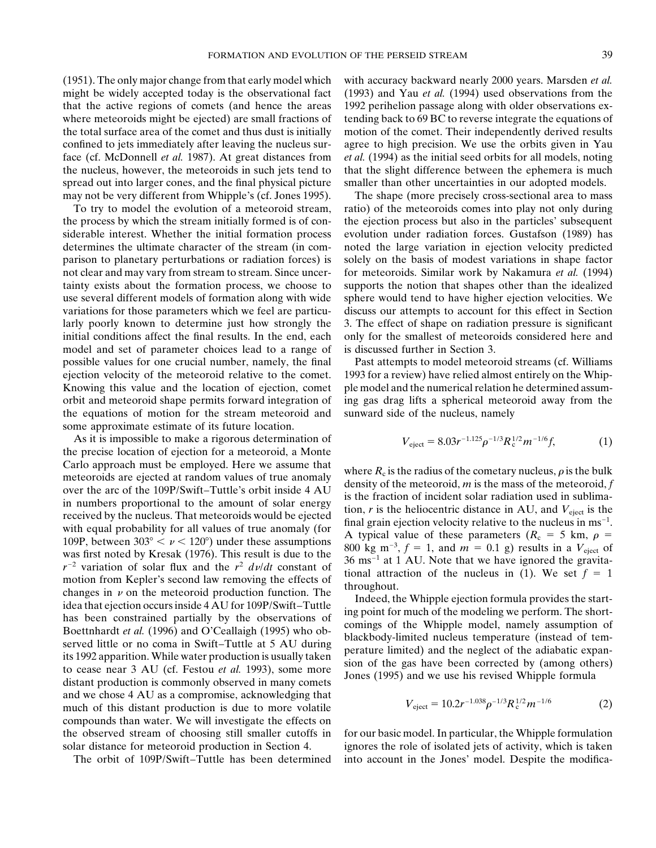spread out into larger cones, and the final physical picture smaller than other uncertainties in our adopted models.

the process by which the stream initially formed is of con- the ejection process but also in the particles' subsequent siderable interest. Whether the initial formation process evolution under radiation forces. Gustafson (1989) has determines the ultimate character of the stream (in com- noted the large variation in ejection velocity predicted parison to planetary perturbations or radiation forces) is solely on the basis of modest variations in shape factor not clear and may vary from stream to stream. Since uncer- for meteoroids. Similar work by Nakamura *et al.* (1994) tainty exists about the formation process, we choose to supports the notion that shapes other than the idealized use several different models of formation along with wide sphere would tend to have higher ejection velocities. We variations for those parameters which we feel are particu- discuss our attempts to account for this effect in Section larly poorly known to determine just how strongly the 3. The effect of shape on radiation pressure is significant initial conditions affect the final results. In the end, each only for the smallest of meteoroids considered here and model and set of parameter choices lead to a range of is discussed further in Section 3. possible values for one crucial number, namely, the final Past attempts to model meteoroid streams (cf. Williams ejection velocity of the meteoroid relative to the comet. 1993 for a review) have relied almost entirely on the Whip-Knowing this value and the location of ejection, comet ple model and the numerical relation he determined assumorbit and meteoroid shape permits forward integration of ing gas drag lifts a spherical meteoroid away from the the equations of motion for the stream meteoroid and sunward side of the nucleus, namely some approximate estimate of its future location.

As it is impossible to make a rigorous determination of the precise location of ejection for a meteoroid, a Monte Carlo approach must be employed. Here we assume that<br>meteoroids are ejected at random values of true anomaly<br>over the arc of the 109P/Swift-Tuttle's orbit inside 4 AU<br>in numbers proportional to the amount of solar energy<br> received by the nucleus. That meteoroids would be ejected<br>with equal probability for all values of true anomaly (for<br>109P, between 303° <  $\nu$  < 120°) under these assumptions<br>was first noted by Kresak (1976). This result was first noted by Kresak (1976). This result is due to the 800 kg m<sup>-3</sup>,  $f = 1$ , and  $m = 0.1$  g) results in a  $V_{\text{eject}}$  of  $r^{-2}$  variation of solar flux and the  $r^2$   $dv/dt$  constant of  $36 \text{ ms}^{-1}$  at 1 AU. Note that w and we chose 4 AU as a compromise, acknowledging that much of this distant production is due to more volatile compounds than water. We will investigate the effects on the observed stream of choosing still smaller cutoffs in for our basic model. In particular, the Whipple formulation solar distance for meteoroid production in Section 4. ignores the role of isolated jets of activity, which is taken

(1951). The only major change from that early model which with accuracy backward nearly 2000 years. Marsden *et al.* might be widely accepted today is the observational fact (1993) and Yau *et al.* (1994) used observations from the that the active regions of comets (and hence the areas 1992 perihelion passage along with older observations exwhere meteoroids might be ejected) are small fractions of tending back to 69 BC to reverse integrate the equations of the total surface area of the comet and thus dust is initially motion of the comet. Their independently derived results confined to jets immediately after leaving the nucleus sur- agree to high precision. We use the orbits given in Yau face (cf. McDonnell *et al.* 1987). At great distances from *et al.* (1994) as the initial seed orbits for all models, noting the nucleus, however, the meteoroids in such jets tend to that the slight difference between the ephemera is much

may not be very different from Whipple's (cf. Jones 1995). The shape (more precisely cross-sectional area to mass To try to model the evolution of a meteoroid stream, ratio) of the meteoroids comes into play not only during

$$
V_{\text{eject}} = 8.03r^{-1.125}\rho^{-1/3}R_c^{1/2}m^{-1/6}f,\tag{1}
$$

$$
V_{\text{eject}} = 10.2r^{-1.038}\rho^{-1/3}R_c^{1/2}m^{-1/6} \tag{2}
$$

The orbit of 109P/Swift–Tuttle has been determined into account in the Jones' model. Despite the modifica-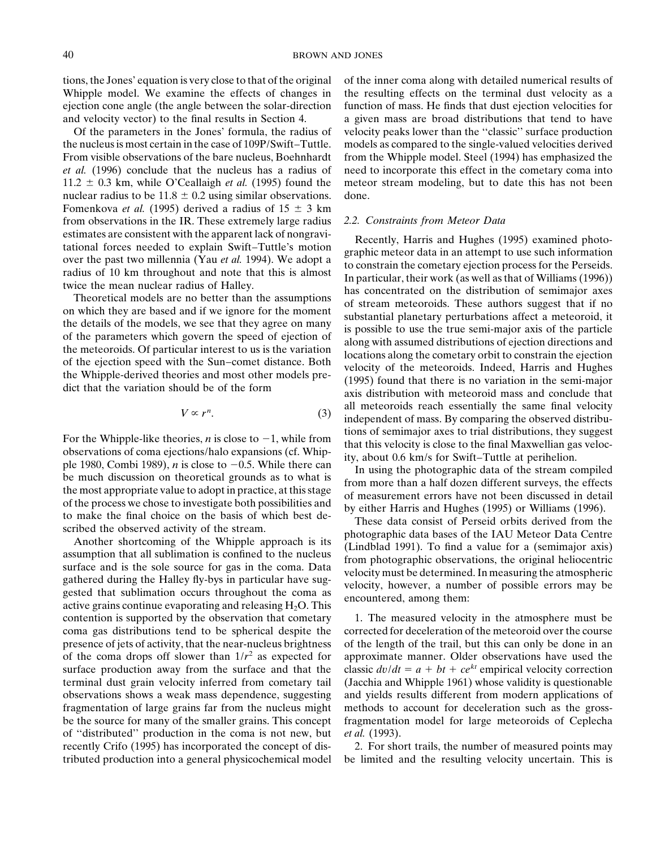tions, the Jones' equation is very close to that of the original of the inner coma along with detailed numerical results of

the nucleus is most certain in the case of 109P/Swift–Tuttle. models as compared to the single-valued velocities derived From visible observations of the bare nucleus, Boehnhardt from the Whipple model. Steel (1994) has emphasized the *et al.* (1996) conclude that the nucleus has a radius of need to incorporate this effect in the cometary coma into 11.2  $\pm$  0.3 km, while O'Ceallaigh *et al.* (1995) found the meteor stream modeling, but to date this has not been nuclear radius to be  $11.8 \pm 0.2$  using similar observations. done. Fomenkova *et al.* (1995) derived a radius of  $15 \pm 3$  km from observations in the IR. These extremely large radius *2.2. Constraints from Meteor Data*

$$
V \propto r^n. \tag{3}
$$

For the Whipple-like theories, *n* is close to  $-1$ , while from<br>forms of semimajor axes to trial distributions, they suggest<br>observations of coma ejections/halo expansions (cf. Whip-<br>that his velocity is close to the fina

contention is supported by the observation that cometary 1. The measured velocity in the atmosphere must be of ''distributed'' production in the coma is not new, but *et al.* (1993). recently Crifo (1995) has incorporated the concept of dis- 2. For short trails, the number of measured points may

Whipple model. We examine the effects of changes in the resulting effects on the terminal dust velocity as a ejection cone angle (the angle between the solar-direction function of mass. He finds that dust ejection velocities for and velocity vector) to the final results in Section 4. a given mass are broad distributions that tend to have Of the parameters in the Jones' formula, the radius of velocity peaks lower than the ''classic'' surface production

estimates are consistent with the apparent lack of nongravices<br>
tational forces needed to explain Swift-Tuttle's motion<br>
over the past two millennia (Yau *et al.* 1994). We adopt a<br>
paphic meteor data in an attempt to use all meteoroids reach essentially the same final velocity independent of mass. By comparing the observed distribu-

coma gas distributions tend to be spherical despite the corrected for deceleration of the meteoroid over the course presence of jets of activity, that the near-nucleus brightness of the length of the trail, but this can only be done in an of the coma drops off slower than  $1/r^2$  as expected for approximate manner. Older observations have used the surface production away from the surface and that the classic  $dv/dt = a + bt + ce^{kt}$  empirical velocity correction terminal dust grain velocity inferred from cometary tail (Jacchia and Whipple 1961) whose validity is questionable observations shows a weak mass dependence, suggesting and yields results different from modern applications of fragmentation of large grains far from the nucleus might methods to account for deceleration such as the grossbe the source for many of the smaller grains. This concept fragmentation model for large meteoroids of Ceplecha

tributed production into a general physicochemical model be limited and the resulting velocity uncertain. This is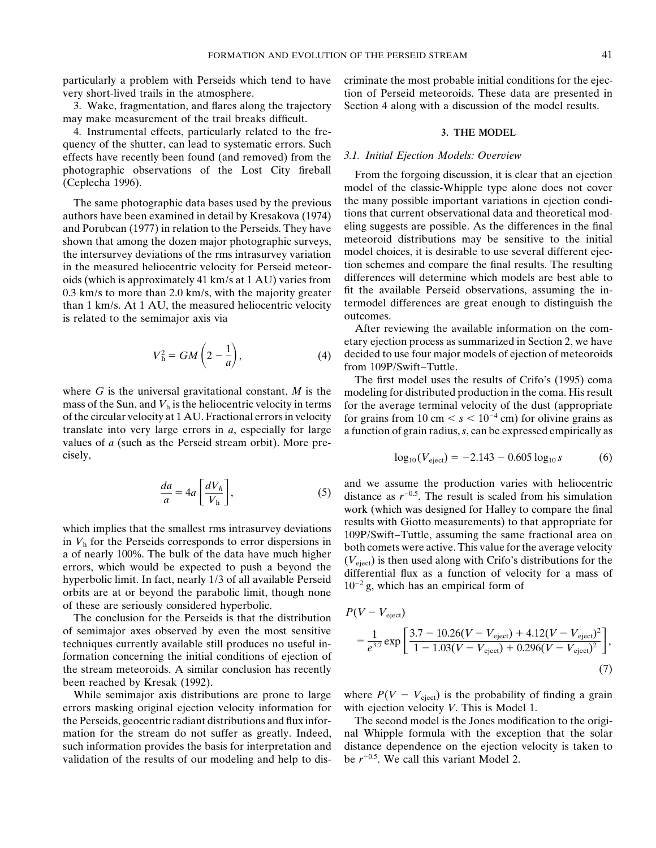very short-lived trails in the atmosphere. tion of Perseid meteoroids. These data are presented in

may make measurement of the trail breaks difficult.

4. Instrumental effects, particularly related to the fre- **3. THE MODEL** quency of the shutter, can lead to systematic errors. Such effects have recently been found (and removed) from the *3.1. Initial Ejection Models: Overview* photographic observations of the Lost City fireball From the forgoing discussion, it is clear that an ejection (Ceplecha 1996).<br>
Trom the forgoing discussion, it is clear that an ejection model of the classic-Whipple type

authors have been examined in detail by Kresakova (1974) tions that current observational data and theoretical mod-<br>and Porubcan (1977) in relation to the Perseids They have eling suggests are possible. As the differences and Porubcan (1977) in relation to the Perseids. They have eling suggests are possible. As the differences in the final<br>shown that among the dozen major photographic surveys meteoroid distributions may be sensitive to the shown that among the dozen major photographic surveys, meteoroid distributions may be sensitive to the initial<br>the intersurvey deviations of the rms intrasurvey variation model choices, it is desirable to use several diffe the intersurvey deviations of the rms intrasurvey variation model choices, it is desirable to use several different ejec-<br>in the measured heliocentric velocity for Perseid meteor. tion schemes and compare the final results in the measured heliocentric velocity for Perseid meteor-<br>oids (which is approximately 41 km/s at 1 AU) varies from differences will determine which models are best able to oids (which is approximately 41 km/s at 1 AU) varies from differences will determine which models are best able to<br>0.3 km/s to more than 2.0 km/s, with the majority greater fit the available Perseid observations, assuming 0.3 km/s to more than 2.0 km/s, with the majority greater fit the available Perseid observations, assuming the in-<br>than 1 km/s. At 1 AU, the measured heliocentric velocity termodel differences are great enough to distingu than 1 km/s. At 1 AU, the measured heliocentric velocity termodel is related to the semimajor axis via  $\frac{1}{\sqrt{2}}$ is related to the semimajor axis via

$$
V_{\rm h}^2 = GM\left(2 - \frac{1}{a}\right),\tag{4}
$$

values of *a* (such as the Perseid stream orbit). More pre-

$$
\frac{da}{a} = 4a \left[ \frac{dV_h}{V_h} \right],\tag{5}
$$

which implies that the smallest rms intrasurvey deviations<br>in  $V_h$  for the Perseids corresponds to error dispersions in<br>a of nearly 100%. The bulk of the data have much higher<br>errors, which would be expected to push a bey of these are seriously considered hyperbolic.<br>The conclusion for the Perseids is that the distribution

of semimajor axes observed by even the most sensitive  $= \frac{1}{e^{3.7}} \exp \left[ \frac{3.7 - 10.26(V - V_{\text{eject}}) + 4.12(V - V_{\text{eject}})^2}{1 - 1.03(V - V_{\text{eject}}) + 0.296(V - V_{\text{eject}})^2} \right],$ formation concerning the initial conditions of ejection of the stream meteoroids. A similar conclusion has recently been reached by Kresak (1992).

While semimajor axis distributions are prone to large where  $P(V - V_{\text{eject}})$  is the probability of finding a grain errors masking original ejection velocity information for with ejection velocity *V*. This is Model 1. the Perseids, geocentric radiant distributions and flux infor- The second model is the Jones modification to the origivalidation of the results of our modeling and help to dis-

particularly a problem with Perseids which tend to have criminate the most probable initial conditions for the ejec-3. Wake, fragmentation, and flares along the trajectory Section 4 along with a discussion of the model results.

The same photographic data bases used by the previous the many possible important variations in ejection condi-<br>thors have been examined in detail by Kresakova (1974) tions that current observational data and theoretical m

After reviewing the available information on the cometary ejection process as summarized in Section 2, we have decided to use four major models of ejection of meteoroids from 109P/Swift–Tuttle.

The first model uses the results of Crifo's (1995) coma where *G* is the universal gravitational constant, *M* is the modeling for distributed production in the coma. His result mass of the Sun, and  $V<sub>h</sub>$  is the heliocentric velocity in terms for the average terminal velo mass of the Sun, and  $V_h$  is the heliocentric velocity in terms for the average terminal velocity of the dust (appropriate of the circular velocity at 1 AU. Fractional errors in velocity for grains from 10 cm  $\lt s \lt 10^{-4}$ of the circular velocity at 1 AU. Fractional errors in velocity for grains from 10 cm  $\lt s \lt 10^{-4}$  cm) for olivine grains as translate into very large errors in a, especially for large a function of grain radius, s, can a function of grain radius, *s*, can be expressed empirically as

\n
$$
\log_{10}(V_{\text{eject}}) = -2.143 - 0.605 \log_{10} s
$$
\n

\n\n (6)\n

 $\frac{da}{a} = 4a \left[ \frac{dV_h}{V_h} \right]$ , (5) and we assume the production varies with heliocentric distance as  $r^{-0.5}$ . The result is scaled from his simulation work (which was designed for Halley to compare the final

$$
P(V - V_{\text{eject}})
$$
  
=  $\frac{1}{e^{3.7}} \exp\left[\frac{3.7 - 10.26(V - V_{\text{eject}}) + 4.12(V - V_{\text{eject}})^2}{1 - 1.03(V - V_{\text{eject}}) + 0.296(V - V_{\text{eject}})^2}\right],$  (7)

mation for the stream do not suffer as greatly. Indeed, nal Whipple formula with the exception that the solar such information provides the basis for interpretation and distance dependence on the ejection velocity is taken to validation of the results of our modeling and help to dis-be  $r^{-0.5}$ . We call this variant Model 2.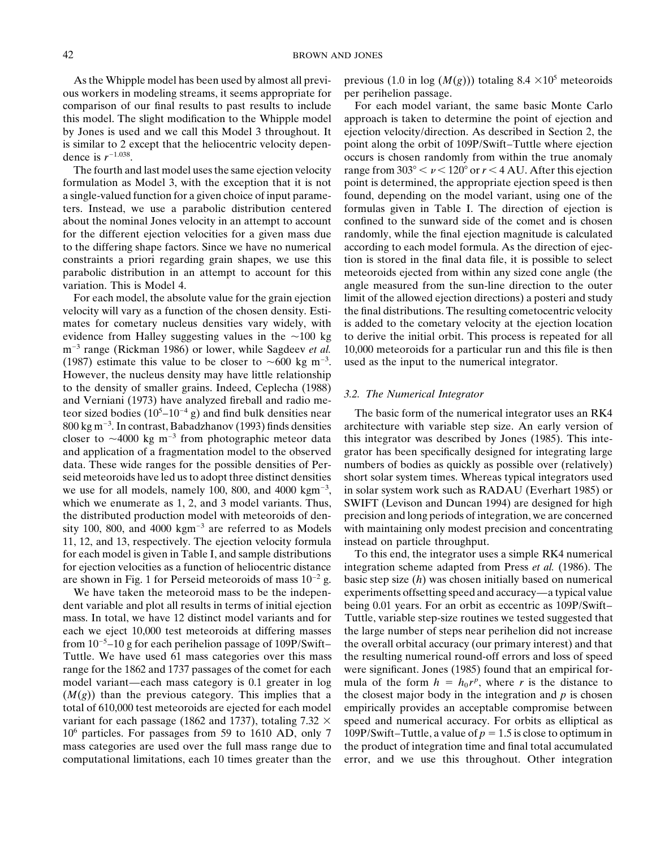ous workers in modeling streams, it seems appropriate for per perihelion passage. comparison of our final results to past results to include For each model variant, the same basic Monte Carlo

velocity will vary as a function of the chosen density. Esti- the final distributions. The resulting cometocentric velocity  $m<sup>-3</sup>$  range (Rickman 1986) or lower, while Sagdeev *et al.* 10,000 meteoroids for a particular run and this file is then (1987) estimate this value to be closer to  $\sim 600$  kg m<sup>-3</sup>. However, the nucleus density may have little relationship to the density of smaller grains. Indeed, Ceplecha (1988) *3.2. The Numerical Integrator* and Verniani (1973) have analyzed fireball and radio meteor sized bodies  $(10^5 - 10^{-4}$  g) and find bulk densities near  $800 \text{ kg m}^{-3}$ . In contrast, Babadzhanov (1993) finds densities architecture with variable step size. An early version of closer to  $\sim$ 4000 kg m<sup>-3</sup> from photographic meteor data this integrator was described by Jones (1985). This inteand application of a fragmentation model to the observed grator has been specifically designed for integrating large data. These wide ranges for the possible densities of Per- numbers of bodies as quickly as possible over (relatively) seid meteoroids have led us to adopt three distinct densities short solar system times. Whereas typical integrators used we use for all models, namely 100, 800, and 4000 kgm<sup>-3</sup>, which we enumerate as 1, 2, and 3 model variants. Thus, SWIFT (Levison and Duncan 1994) are designed for high the distributed production model with meteoroids of den- precision and long periods of integration, we are concerned sity 100, 800, and 4000 kgm<sup>-3</sup> are referred to as Models with maintaining only modest precision and concentrating 11, 12, and 13, respectively. The ejection velocity formula instead on particle throughput. for each model is given in Table I, and sample distributions To this end, the integrator uses a simple RK4 numerical for ejection velocities as a function of heliocentric distance integration scheme adapted from Press *et al.* (1986). The are shown in Fig. 1 for Perseid meteoroids of mass  $10^{-2}$  g. basic step size (*h*) was chosen initially based on numerical

dent variable and plot all results in terms of initial ejection being 0.01 years. For an orbit as eccentric as 109P/Swift– mass. In total, we have 12 distinct model variants and for Tuttle, variable step-size routines we tested suggested that each we eject 10,000 test meteoroids at differing masses the large number of steps near perihelion did not increase from  $10^{-5}$ –10 g for each perihelion passage of 109P/Swift– Tuttle. We have used 61 mass categories over this mass the resulting numerical round-off errors and loss of speed range for the 1862 and 1737 passages of the comet for each were significant. Jones (1985) found that an empirical formodel variant—each mass category is 0.1 greater in log mula of the form  $h = h_0 r^p$ , where *r* is the distance to  $(M(g))$  than the previous category. This implies that a the closest major body in the integration and *p* is chosen total of 610,000 test meteoroids are ejected for each model empirically provides an acceptable compromise between variant for each passage (1862 and 1737), totaling 7.32  $\times$  speed and numerical accuracy. For orbits as elliptical as 10<sup>6</sup> particles. For passages from 59 to 1610 AD, only 7 109P/Swift–Tuttle, a value of  $p = 1.5$  is close to optimum in mass categories are used over the full mass range due to the product of integration time and final total accumulated

As the Whipple model has been used by almost all previ- previous (1.0 in log  $(M(g))$ ) totaling 8.4  $\times 10^5$  meteoroids

this model. The slight modification to the Whipple model approach is taken to determine the point of ejection and by Jones is used and we call this Model 3 throughout. It ejection velocity/direction. As described in Section 2, the is similar to 2 except that the heliocentric velocity depen- point along the orbit of 109P/Swift–Tuttle where ejection dence is  $r^{-1.038}$ . occurs is chosen randomly from within the true anomaly The fourth and last model uses the same ejection velocity range from  $303^\circ < \nu < 120^\circ$  or  $r < 4 \text{ AU}$ . After this ejection formulation as Model 3, with the exception that it is not point is determined, the appropriate ejection speed is then a single-valued function for a given choice of input parame- found, depending on the model variant, using one of the ters. Instead, we use a parabolic distribution centered formulas given in Table I. The direction of ejection is about the nominal Jones velocity in an attempt to account confined to the sunward side of the comet and is chosen for the different ejection velocities for a given mass due randomly, while the final ejection magnitude is calculated to the differing shape factors. Since we have no numerical according to each model formula. As the direction of ejecconstraints a priori regarding grain shapes, we use this tion is stored in the final data file, it is possible to select parabolic distribution in an attempt to account for this meteoroids ejected from within any sized cone angle (the variation. This is Model 4.  $\Box$  angle measured from the sun-line direction to the outer For each model, the absolute value for the grain ejection limit of the allowed ejection directions) a posteri and study mates for cometary nucleus densities vary widely, with is added to the cometary velocity at the ejection location evidence from Halley suggesting values in the  $\sim$ 100 kg to derive the initial orbit. This process is repeated for all . used as the input to the numerical integrator.

The basic form of the numerical integrator uses an RK4 in solar system work such as RADAU (Everhart 1985) or

We have taken the meteoroid mass to be the indepen- experiments offsetting speed and accuracy—a typical value the overall orbital accuracy (our primary interest) and that computational limitations, each 10 times greater than the error, and we use this throughout. Other integration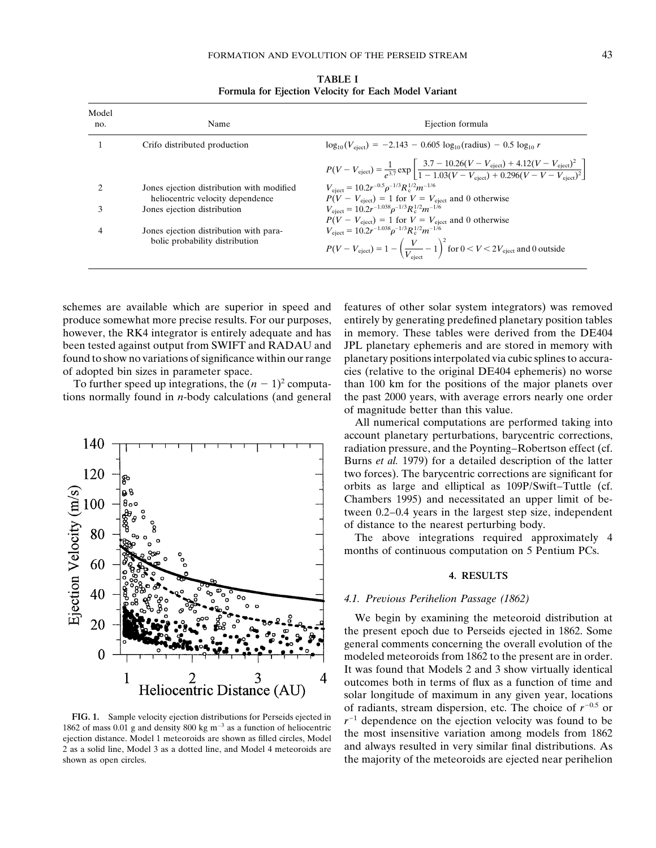| Model<br>no.   | Name                                                                          | Ejection formula                                                                                                                                                                                              |
|----------------|-------------------------------------------------------------------------------|---------------------------------------------------------------------------------------------------------------------------------------------------------------------------------------------------------------|
|                | Crifo distributed production                                                  | $log_{10}(V_{\text{eject}}) = -2.143 - 0.605 log_{10}(radius) - 0.5 log_{10} r$                                                                                                                               |
|                |                                                                               | $P(V - V_{\text{eject}}) = \frac{1}{e^{3.7}} \exp \left[ \frac{3.7 - 10.26(V - V_{\text{eject}}) + 4.12(V - V_{\text{eject}})^2}{1 - 1.03(V - V_{\text{eject}}) + 0.296(V - V - V_{\text{eject}})^2} \right]$ |
| $\mathfrak{D}$ | Jones ejection distribution with modified<br>heliocentric velocity dependence | $V_{\text{eject}} = 10.2r^{-0.5}\rho^{-1/3}R_c^{1/2}m^{-1/6}$<br>$P(V - V_{\text{elect}}) = 1$ for $V = V_{\text{elect}}$ and 0 otherwise                                                                     |
| 3              | Jones ejection distribution                                                   | $V_{\text{eject}} = 10.2r^{-1.038}\rho^{-1/3}R_c^{1/2}m^{-1/6}$<br>$P(V - V_{\text{eject}}) = 1$ for $V = V_{\text{eject}}$ and 0 otherwise                                                                   |
| 4              | Jones ejection distribution with para-<br>bolic probability distribution      | $V_{\text{eject}} = 10.2r^{-1.038}\rho^{-1/3}R_c^{1/2}m^{-1/6}$<br>$P(V - V_{\text{eject}}) = 1 - \left(\frac{V}{V_{\text{eject}}} - 1\right)^2$ for $0 < V < 2V_{\text{eject}}$ and 0 outside                |

**TABLE I Formula for Ejection Velocity for Each Model Variant**

found to show no variations of significance within our range planetary positions interpolated via cubic splines to accuraof adopted bin sizes in parameter space. cies (relative to the original DE404 ephemeris) no worse



2 as a solid line, Model 3 as a dotted line, and Model 4 meteoroids are

schemes are available which are superior in speed and features of other solar system integrators) was removed produce somewhat more precise results. For our purposes, entirely by generating predefined planetary position tables however, the RK4 integrator is entirely adequate and has in memory. These tables were derived from the DE404 been tested against output from SWIFT and RADAU and JPL planetary ephemeris and are stored in memory with To further speed up integrations, the  $(n - 1)^2$  computa- than 100 km for the positions of the major planets over tions normally found in *n*-body calculations (and general the past 2000 years, with average errors nearly one order of magnitude better than this value.

> All numerical computations are performed taking into account planetary perturbations, barycentric corrections, radiation pressure, and the Poynting–Robertson effect (cf. Burns *et al.* 1979) for a detailed description of the latter two forces). The barycentric corrections are significant for orbits as large and elliptical as 109P/Swift–Tuttle (cf. Chambers 1995) and necessitated an upper limit of between 0.2–0.4 years in the largest step size, independent of distance to the nearest perturbing body.

> The above integrations required approximately 4 months of continuous computation on 5 Pentium PCs.

# **4. RESULTS**

### *4.1. Previous Perihelion Passage (1862)*

We begin by examining the meteoroid distribution at the present epoch due to Perseids ejected in 1862. Some general comments concerning the overall evolution of the modeled meteoroids from 1862 to the present are in order. It was found that Models 2 and 3 show virtually identical outcomes both in terms of flux as a function of time and solar longitude of maximum in any given year, locations of radiants, stream dispersion, etc. The choice of  $r^{-0.5}$  or FIG. 1. Sample velocity ejection distributions for Perseids ejected in<br>1862 of mass 0.01 g and density 800 kg m<sup>-3</sup> as a function of heliocentric<br>1862 of mass 0.01 g and density 800 kg m<sup>-3</sup> as a function of heliocentric<br> shown as open circles. the majority of the meteoroids are ejected near perihelion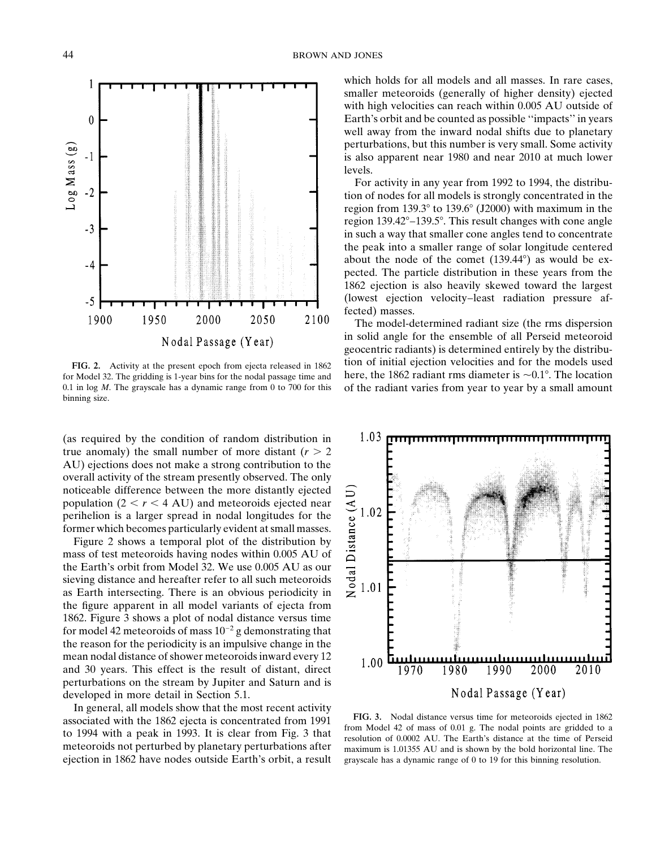

for Model 32. The gridding is 1-year bins for the nodal passage time and here, the 1862 radiant rms diameter is  $\sim 0.1^\circ$ . The location 0.1 in log *M*. The grayscale has a dynamic range from 0 to 700 for this of the radiant varies from year to year by a small amount binning size.

(as required by the condition of random distribution in true anomaly) the small number of more distant  $(r > 2)$ AU) ejections does not make a strong contribution to the overall activity of the stream presently observed. The only noticeable difference between the more distantly ejected population  $(2 < r < 4 \text{ AU})$  and meteoroids ejected near perihelion is a larger spread in nodal longitudes for the former which becomes particularly evident at small masses.

Figure 2 shows a temporal plot of the distribution by mass of test meteoroids having nodes within 0.005 AU of the Earth's orbit from Model 32. We use 0.005 AU as our sieving distance and hereafter refer to all such meteoroids as Earth intersecting. There is an obvious periodicity in the figure apparent in all model variants of ejecta from 1862. Figure 3 shows a plot of nodal distance versus time for model 42 meteoroids of mass  $10^{-2}$  g demonstrating that the reason for the periodicity is an impulsive change in the mean nodal distance of shower meteoroids inward every 12 and 30 years. This effect is the result of distant, direct perturbations on the stream by Jupiter and Saturn and is developed in more detail in Section 5.1.

In general, all models show that the most recent activity<br>associated with the 1862 ejecta is concentrated from 1991<br>to 1994 with a peak in 1993. It is clear from Fig. 3 that<br>meteoroids not perturbed by planetary perturbati ejection in 1862 have nodes outside Earth's orbit, a result grayscale has a dynamic range of 0 to 19 for this binning resolution.

which holds for all models and all masses. In rare cases, smaller meteoroids (generally of higher density) ejected with high velocities can reach within 0.005 AU outside of Earth's orbit and be counted as possible ''impacts'' in years well away from the inward nodal shifts due to planetary perturbations, but this number is very small. Some activity is also apparent near 1980 and near 2010 at much lower levels.

For activity in any year from 1992 to 1994, the distribution of nodes for all models is strongly concentrated in the region from  $139.3^{\circ}$  to  $139.6^{\circ}$  (J2000) with maximum in the region  $139.42^{\circ} - 139.5^{\circ}$ . This result changes with cone angle in such a way that smaller cone angles tend to concentrate the peak into a smaller range of solar longitude centered about the node of the comet  $(139.44^{\circ})$  as would be expected. The particle distribution in these years from the 1862 ejection is also heavily skewed toward the largest (lowest ejection velocity–least radiation pressure affected) masses.

The model-determined radiant size (the rms dispersion in solid angle for the ensemble of all Perseid meteoroid geocentric radiants) is determined entirely by the distribution of initial ejection velocities and for the models used **FIG. 2.** Activity at the present epoch from ejecta released in 1862



maximum is 1.01355 AU and is shown by the bold horizontal line. The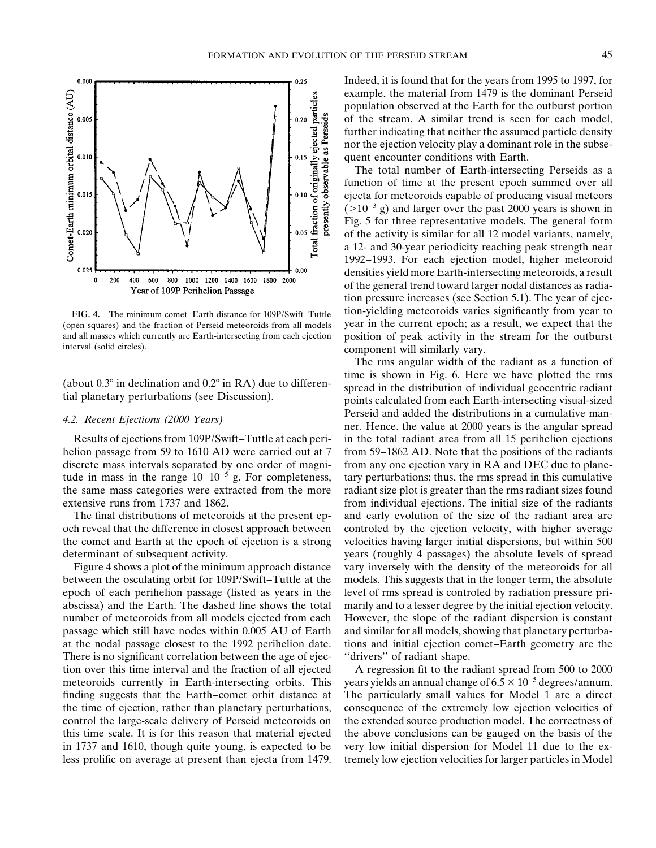

helion passage from 59 to 1610 AD were carried out at 7 from 59–1862 AD. Note that the positions of the radiants discrete mass intervals separated by one order of magni- from any one ejection vary in RA and DEC due to planetude in mass in the range  $10-10^{-5}$  g. For completeness, tary perturbations; thus, the rms spread in this cumulative the same mass categories were extracted from the more radiant size plot is greater than the rms radiant sizes found extensive runs from 1737 and 1862. from individual ejections. The initial size of the radiants

och reveal that the difference in closest approach between controled by the ejection velocity, with higher average

between the osculating orbit for 109P/Swift–Tuttle at the models. This suggests that in the longer term, the absolute epoch of each perihelion passage (listed as years in the level of rms spread is controled by radiation pressure priabscissa) and the Earth. The dashed line shows the total marily and to a lesser degree by the initial ejection velocity. number of meteoroids from all models ejected from each However, the slope of the radiant dispersion is constant passage which still have nodes within 0.005 AU of Earth and similar for all models, showing that planetary perturbaat the nodal passage closest to the 1992 perihelion date. tions and initial ejection comet–Earth geometry are the There is no significant correlation between the age of ejec- ''drivers'' of radiant shape. tion over this time interval and the fraction of all ejected A regression fit to the radiant spread from 500 to 2000 meteoroids currently in Earth-intersecting orbits. This years yields an annual change of  $6.5 \times 10^{-5}$  degrees/annum. finding suggests that the Earth–comet orbit distance at The particularly small values for Model 1 are a direct the time of ejection, rather than planetary perturbations, consequence of the extremely low ejection velocities of control the large-scale delivery of Perseid meteoroids on the extended source production model. The correctness of this time scale. It is for this reason that material ejected the above conclusions can be gauged on the basis of the in 1737 and 1610, though quite young, is expected to be very low initial dispersion for Model 11 due to the exless prolific on average at present than ejecta from 1479. tremely low ejection velocities for larger particles in Model

Indeed, it is found that for the years from 1995 to 1997, for example, the material from 1479 is the dominant Perseid population observed at the Earth for the outburst portion of the stream. A similar trend is seen for each model, further indicating that neither the assumed particle density nor the ejection velocity play a dominant role in the subsequent encounter conditions with Earth.

The total number of Earth-intersecting Perseids as a function of time at the present epoch summed over all ejecta for meteoroids capable of producing visual meteors  $(>10^{-3}$  g) and larger over the past 2000 years is shown in Fig. 5 for three representative models. The general form of the activity is similar for all 12 model variants, namely, a 12- and 30-year periodicity reaching peak strength near 1992–1993. For each ejection model, higher meteoroid densities yield more Earth-intersecting meteoroids, a result of the general trend toward larger nodal distances as radiation pressure increases (see Section 5.1). The year of ejec-**FIG. 4.** The minimum comet–Earth distance for 109P/Swift–Tuttle tion-yielding meteoroids varies significantly from year to (open squares) and the fraction of Perseid meteoroids from all models year in the current epoch; as a result, we expect that the and all masses which currently are Earth-intersecting from each ejection position of peak activity in the stream for the outburst interval (solid circles). component will similarly vary.

The rms angular width of the radiant as a function of (about  $0.3^{\circ}$  in declination and  $0.2^{\circ}$  in RA) due to differential planetary perturbations (see Discussion).<br>
tial planetary perturbations (see Discussion). Perseid and added the distributions in a cumulative man- *4.2. Recent Ejections (2000 Years)* ner. Hence, the value at 2000 years is the angular spread Results of ejections from 109P/Swift–Tuttle at each peri- in the total radiant area from all 15 perihelion ejections The final distributions of meteoroids at the present ep- and early evolution of the size of the radiant area are the comet and Earth at the epoch of ejection is a strong velocities having larger initial dispersions, but within 500 determinant of subsequent activity. years (roughly 4 passages) the absolute levels of spread Figure 4 shows a plot of the minimum approach distance vary inversely with the density of the meteoroids for all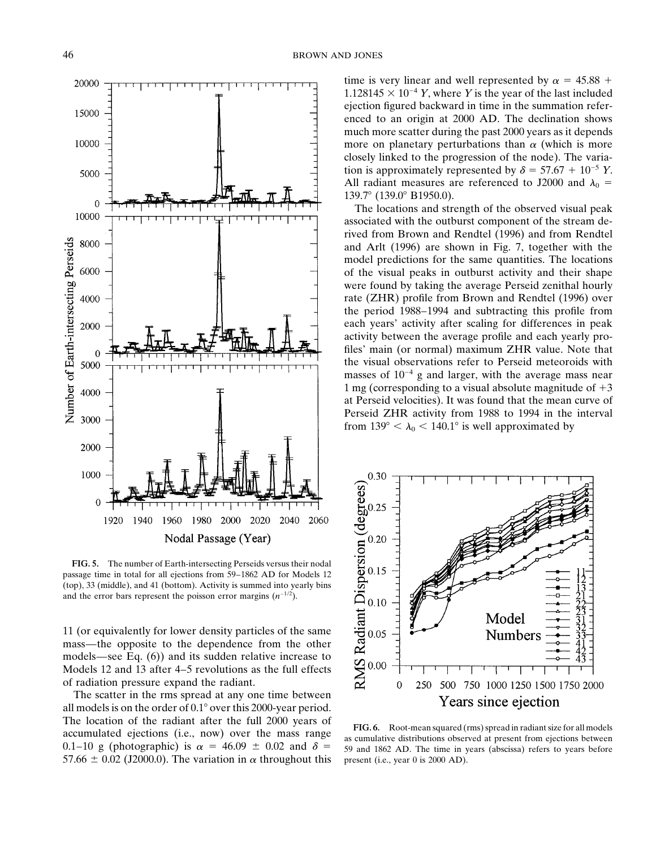$139.7^{\circ}$  (139.0° B1950.0).

 $0.3C$ 

The locations and strength of the observed visual peak associated with the outburst component of the stream derived from Brown and Rendtel (1996) and from Rendtel and Arlt (1996) are shown in Fig. 7, together with the model predictions for the same quantities. The locations of the visual peaks in outburst activity and their shape were found by taking the average Perseid zenithal hourly rate (ZHR) profile from Brown and Rendtel (1996) over the period 1988–1994 and subtracting this profile from each years' activity after scaling for differences in peak activity between the average profile and each yearly profiles' main (or normal) maximum ZHR value. Note that the visual observations refer to Perseid meteoroids with masses of  $10^{-4}$  g and larger, with the average mass near 1 mg (corresponding to a visual absolute magnitude of  $+3$ at Perseid velocities). It was found that the mean curve of Perseid ZHR activity from 1988 to 1994 in the interval from  $139^{\circ} < \lambda_0 < 140.1^{\circ}$  is well approximated by

All radiant measures are referenced to J2000 and  $\lambda_0$  =

RMS Radiant Dispersion (degrees)<br>  $\frac{1}{2}$ <br>  $\frac{1}{2}$ <br>  $\frac{1}{2}$ <br>  $\frac{1}{2}$ <br>  $\frac{1}{2}$ <br>  $\frac{1}{2}$ <br>  $\frac{1}{2}$ Model Numbers 500 750 1000 1250 1500 1750 2000  $\overline{0}$ 250 Years since ejection The location of the radiant after the full 2000 years of<br>accumulated ejections (i.e., now) over the mass range as cumulative distributions observed at present from ejections between

**FIG. 5.** The number of Earth-intersecting Perseids versus their nodal passage time in total for all ejections from 59–1862 AD for Models 12 (top), 33 (middle), and 41 (bottom). Activity is summed into yearly bins

11 (or equivalently for lower density particles of the same mass—the opposite to the dependence from the other models—see Eq. (6)) and its sudden relative increase to Models 12 and 13 after 4–5 revolutions as the full effects of radiation pressure expand the radiant.

The scatter in the rms spread at any one time between all models is on the order of  $0.1^{\circ}$  over this 2000-year period. 0.1–10 g (photographic) is  $\alpha = 46.09 \pm 0.02$  and  $\delta = \frac{39}{59}$  and 1862 AD. The time in years (abscissa) refers to years before 57.66  $\pm$  0.02 (J2000.0). The variation in  $\alpha$  throughout this present (i.e., year 0 is 2000 AD).

and the error bars represent the poisson error margins  $(n^{-1/2})$ .

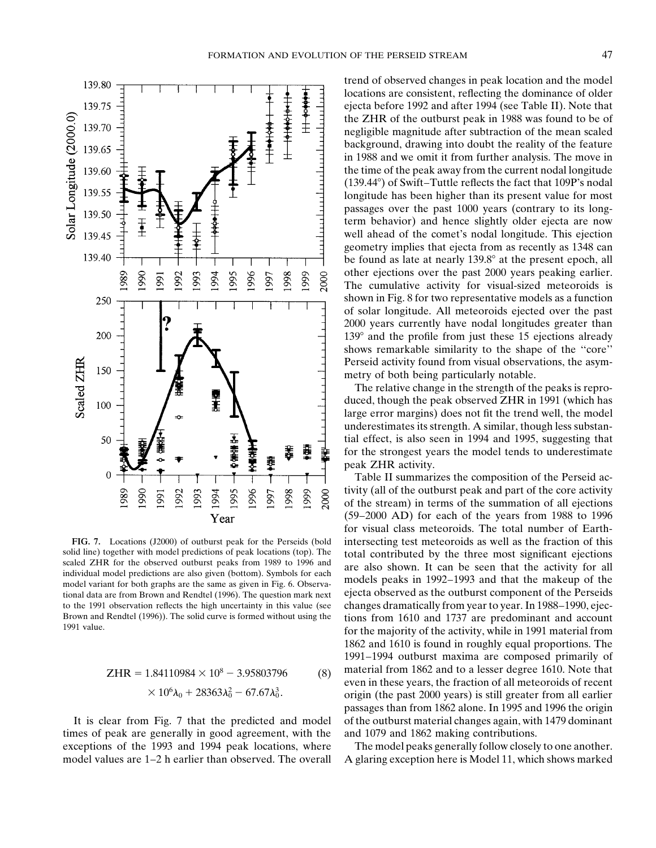

$$
\text{ZHR} = 1.84110984 \times 10^8 - 3.95803796 \qquad (8)
$$
\n
$$
\times 10^6 \lambda_0 + 28363 \lambda_0^2 - 67.67 \lambda_0^3.
$$

times of peak are generally in good agreement, with the and 1079 and 1862 making contributions. exceptions of the 1993 and 1994 peak locations, where The model peaks generally follow closely to one another. model values are 1–2 h earlier than observed. The overall A glaring exception here is Model 11, which shows marked

trend of observed changes in peak location and the model locations are consistent, reflecting the dominance of older ejecta before 1992 and after 1994 (see Table II). Note that the ZHR of the outburst peak in 1988 was found to be of negligible magnitude after subtraction of the mean scaled background, drawing into doubt the reality of the feature in 1988 and we omit it from further analysis. The move in the time of the peak away from the current nodal longitude  $(139.44^{\circ})$  of Swift–Tuttle reflects the fact that 109P's nodal longitude has been higher than its present value for most passages over the past 1000 years (contrary to its longterm behavior) and hence slightly older ejecta are now well ahead of the comet's nodal longitude. This ejection geometry implies that ejecta from as recently as 1348 can be found as late at nearly  $139.8^\circ$  at the present epoch, all other ejections over the past 2000 years peaking earlier. The cumulative activity for visual-sized meteoroids is shown in Fig. 8 for two representative models as a function of solar longitude. All meteoroids ejected over the past 2000 years currently have nodal longitudes greater than  $139^{\circ}$  and the profile from just these 15 ejections already shows remarkable similarity to the shape of the ''core'' Perseid activity found from visual observations, the asymmetry of both being particularly notable.

The relative change in the strength of the peaks is reproduced, though the peak observed ZHR in 1991 (which has large error margins) does not fit the trend well, the model underestimates its strength. A similar, though less substantial effect, is also seen in 1994 and 1995, suggesting that for the strongest years the model tends to underestimate peak ZHR activity.

Table II summarizes the composition of the Perseid activity (all of the outburst peak and part of the core activity of the stream) in terms of the summation of all ejections (59–2000 AD) for each of the years from 1988 to 1996 for visual class meteoroids. The total number of Earth-**FIG. 7.** Locations (J2000) of outburst peak for the Perseids (bold intersecting test meteoroids as well as the fraction of this solid line) together with model predictions of peak locations (top). The total contributed by the three most significant ejections scaled ZHR for the observed outburst peaks from 1989 to 1996 and individual model predictio tional data are from Brown and Rendtel (1996). The question mark next ejecta observed as the outburst component of the Perseids to the 1991 observation reflects the high uncertainty in this value (see changes dramatically from year to year. In 1988–1990, ejec-<br>Brown and Rendtel (1996)). The solid curve is formed without using the tions from 1610 an Brown and Rendtel (1996)). The solid curve is formed without using the tions from 1610 and 1737 are predominant and account for the majority of the activity, while in 1991 material from 1862 and 1610 is found in roughly equal proportions. The 1991–1994 outburst maxima are composed primarily of material from 1862 and to a lesser degree 1610. Note that even in these years, the fraction of all meteoroids of recent origin (the past 2000 years) is still greater from all earlier passages than from 1862 alone. In 1995 and 1996 the origin It is clear from Fig. 7 that the predicted and model of the outburst material changes again, with 1479 dominant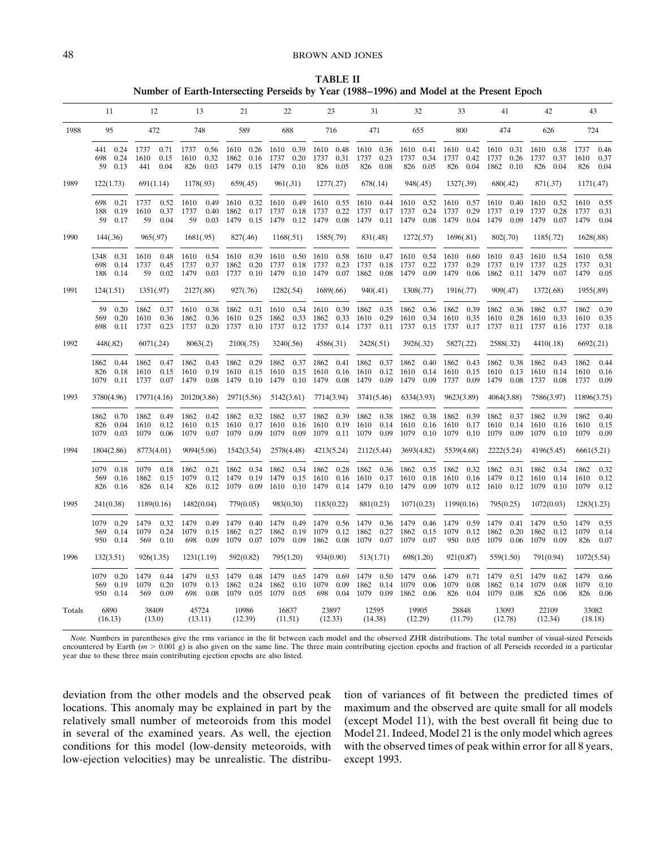**TABLE II Number of Earth-Intersecting Perseids by Year (1988–1996) and Model at the Present Epoch**

|        |           | 11                                 | 12                        |                      | 13                                                                                        |                       | 21                                                                                                                                                                    |            |                                                                          | 22        |                        | 23               | 31                                                                                        |          | 32                     |          | 33                     |                  | 41                                                                     |              |                           | 42                        | 43                                                                                                                                          |                          |
|--------|-----------|------------------------------------|---------------------------|----------------------|-------------------------------------------------------------------------------------------|-----------------------|-----------------------------------------------------------------------------------------------------------------------------------------------------------------------|------------|--------------------------------------------------------------------------|-----------|------------------------|------------------|-------------------------------------------------------------------------------------------|----------|------------------------|----------|------------------------|------------------|------------------------------------------------------------------------|--------------|---------------------------|---------------------------|---------------------------------------------------------------------------------------------------------------------------------------------|--------------------------|
| 1988   |           | 95                                 | 472                       |                      | 748                                                                                       |                       | 589                                                                                                                                                                   |            |                                                                          | 688       |                        | 716              | 471                                                                                       |          |                        | 655      |                        | 800              |                                                                        | 474          |                           | 626                       | 724                                                                                                                                         |                          |
|        |           | 441 0.24<br>698 0.24<br>59 0.13    | 1737 0.71<br>1610         | 0.15<br>441 0.04     | 1610 0.32                                                                                 | 1737 0.56<br>826 0.03 | 1862 0.16                                                                                                                                                             |            | 1610 0.26 1610 0.39<br>1737 0.20<br>1479 0.15 1479 0.10                  |           | 1610 0.48<br>1737 0.31 | 826 0.05         | 1610 0.36<br>1737 0.23                                                                    | 826 0.08 | 1610 0.41<br>1737 0.34 | 826 0.05 | 1610 0.42<br>1737 0.42 | 826 0.04         | 1610 0.31<br>1737 0.26<br>1862 0.10                                    |              | 1610 0.38<br>1737         | 0.37<br>826 0.04          | 1737<br>1610                                                                                                                                | 0.46<br>0.37<br>826 0.04 |
| 1989   |           | 122(1.73)                          | 691(1.14)                 |                      | 1178(.93)                                                                                 |                       | 659(.45)                                                                                                                                                              |            |                                                                          | 961(.31)  | 1277(.27)              |                  | 678(.14)                                                                                  |          |                        | 948(.45) | 1327(.39)              |                  | 680(.42)                                                               |              |                           | 871(.37)                  | 1171(.47)                                                                                                                                   |                          |
|        |           | 698 0.21<br>188 0.19<br>59 0.17    | 1737 0.52<br>1610<br>59   | 0.37<br>0.04         | 1737<br>59                                                                                | 0.40<br>0.03          |                                                                                                                                                                       |            | 1862  0.17  1737  0.18  1737  0.22<br>1479  0.15  1479  0.12  1479  0.08 |           |                        |                  | 1737  0.17  1737  0.24<br>1479  0.11  1479  0.08                                          |          |                        |          | 1737 0.29<br>1479 0.04 |                  | 1737 0.19<br>1479 0.09                                                 |              | 1737 0.28<br>1479         | 0.07                      | 1610  0.49  1610  0.32  1610  0.49  1610  0.55  1610  0.44  1610  0.52  1610  0.57  1610  0.40  1610  0.52  1610  0.55<br>1737 0.31<br>1479 | 0.04                     |
| 1990   |           | 144(.36)                           | 965(.97)                  |                      | 1681(.95)                                                                                 |                       | 827(.46)                                                                                                                                                              |            |                                                                          | 1168(.51) | 1585(.79)              |                  | 831(.48)                                                                                  |          | 1272(.57)              |          | 1696(.81)              |                  | 802(.70)                                                               |              | 1185(.72)                 |                           | 1628(.88)                                                                                                                                   |                          |
|        | 698       | 1348 0.31<br>0.14<br>188 0.14      | 1610<br>1737<br>59        | 0.48<br>0.45<br>0.02 | 1610<br>1737<br>1479                                                                      | 0.37<br>0.03          | 0.54 1610 0.39 1610 0.50 1610 0.58 1610 0.47 1610 0.54<br>1737  0.10  1479  0.10  1479  0.07                                                                          |            | 1862  0.20  1737  0.18  1737  0.23                                       |           |                        |                  | 1737  0.18  1737  0.22<br>1862 0.08                                                       |          | 1479 0.09              |          | 1737 0.29<br>1479 0.06 |                  | 1610  0.60  1610  0.43  1610  0.54<br>1737 0.19                        |              | 1737<br>1862  0.11  1479  | 0.25<br>0.07              | 1610 0.58<br>1737<br>1479                                                                                                                   | 0.31<br>0.05             |
| 1991   |           | 124(1.51)                          | 1351(.97)                 |                      | 2127(.88)                                                                                 |                       | 927(.76)                                                                                                                                                              |            |                                                                          | 1282(.54) | 1689(.66)              |                  | 940(.41)                                                                                  |          | 1308(.77)              |          | 1916(.77)              |                  | 909(.47)                                                               |              | 1372(.68)                 |                           | 1955(.89)                                                                                                                                   |                          |
|        | 59<br>698 | 0.20<br>569 0.20<br>0.11           | 1862<br>1610<br>1737      | 0.37<br>0.36<br>0.23 | 1610<br>1862<br>1737                                                                      | 0.36<br>0.20          | 0.38 1862 0.31 1610 0.34 1610 0.39 1862 0.35 1862 0.36<br>1610 0.25<br>1737  0.10  1737  0.12  1737  0.14  1737  0.11  1737  0.15                                     |            |                                                                          |           |                        |                  | 1862 0.33 1862 0.33 1610 0.29                                                             |          | 1610 0.34              |          | 1610 0.35<br>1737 0.17 |                  | 1862 0.39 1862 0.36<br>1610 0.28<br>1737 0.11                          |              | 1862 0.37<br>1610<br>1737 | 0.33<br>0.16              | 1862<br>1610<br>1737                                                                                                                        | 0.39<br>0.35<br>0.18     |
| 1992   |           | 448(.82)                           | 6071(.24)                 |                      | 8063(.2)                                                                                  |                       | 2100(.75)                                                                                                                                                             |            | 3240(.56)                                                                |           | 4586(.31)              |                  | 2428(.51)                                                                                 |          | 3926(.32)              |          | 5827(.22)              |                  | 2588(.32)                                                              |              |                           | 4410(.18)                 | 6692(.21)                                                                                                                                   |                          |
|        |           | 1862 0.44<br>826 0.18<br>1079 0.11 | 1862 0.47<br>1610<br>1737 | 0.15<br>0.07         | 1610<br>1479                                                                              | 0.08                  | 1862 0.43 1862 0.29 1862 0.37 1862 0.41 1862 0.37 1862 0.40<br>0.19 1610<br>1479                                                                                      |            | 0.10 1479 0.10 1479 0.08                                                 |           |                        |                  | 0.15 1610 0.15 1610 0.16 1610 0.12 1610 0.14<br>1479 0.09                                 |          | 1479 0.09              |          | 1610 0.15<br>1737 0.09 |                  | 1862 0.43 1862 0.38 1862 0.43<br>1610<br>1479                          | 0.13<br>0.08 | 1610<br>1737              | 0.14<br>0.08              | 1862 0.44<br>1610<br>1737                                                                                                                   | 0.16<br>0.09             |
| 1993   |           | 3780(4.96)                         |                           |                      | 17971(4.16) 20120(3.86) 2971(5.56) 5142(3.61) 7714(3.94) 3741(5.46) 6334(3.93) 9623(3.89) |                       |                                                                                                                                                                       |            |                                                                          |           |                        |                  |                                                                                           |          |                        |          |                        |                  | 4064(3.88)                                                             |              |                           |                           | 7586(3.97) 11896(3.75)                                                                                                                      |                          |
|        | 1079      | 1862 0.70<br>826 0.04<br>0.03      | 1862<br>1610<br>1079      | 0.49<br>0.12<br>0.06 | 1610<br>1079                                                                              |                       | 1862 0.42 1862 0.32 1862 0.37 1862 0.39 1862 0.38 1862 0.38 1862 0.39<br>0.15 1610 0.17 1610 0.16 1610 0.19 1610 0.14<br>0.07 1079 0.09 1079 0.09 1079 0.11 1079 0.09 |            |                                                                          |           |                        |                  |                                                                                           |          | 1610 0.16              |          |                        |                  | 1862 0.37<br>1610 0.17 1610 0.14<br>1079  0.10  1079  0.10  1079  0.09 |              | 1610<br>1079              | 1862 0.39<br>0.16<br>0.10 | 1862<br>1610<br>1079                                                                                                                        | 0.40<br>0.15<br>0.09     |
| 1994   |           | 1804(2.86)                         | 8773(4.01)                |                      | 9094(5.06)                                                                                |                       |                                                                                                                                                                       | 1542(3.54) | 2578(4.48)                                                               |           | 4213(5.24)             |                  | 2112(5.44)                                                                                |          | 3693(4.82)             |          | 5539(4.68)             |                  | 2222(5.24)                                                             |              | 4196(5.45)                |                           | 6661(5.21)                                                                                                                                  |                          |
|        | 826       | 1079 0.18<br>569 0.16<br>0.16      | 1079<br>1862<br>826       | 0.18<br>0.15<br>0.14 | 1862<br>1079<br>826                                                                       | 0.12                  | 0.21 1862 0.34 1862 0.34 1862 0.28 1862 0.36 1862 0.35 1862 0.32 1862 0.31 1862 0.34<br>1479 0.19<br>0.12 1079 0.09                                                   |            |                                                                          |           |                        |                  | 1479  0.15  1610  0.16  1610  0.17  1610  0.18<br>1610 0.10 1479 0.14 1479 0.10 1479 0.09 |          |                        |          |                        |                  | 1610  0.16  1479  0.12<br>1079  0.12  1610  0.12  1079                 |              | 1610                      | 0.14<br>0.10              | 1862 0.32<br>1610 0.12<br>1079                                                                                                              | 0.12                     |
| 1995   |           | 241(0.38)                          | 1189(0.16)                |                      | 1482(0.04)                                                                                |                       | 779(0.05)                                                                                                                                                             |            |                                                                          | 983(0.30) | 1183(0.22)             |                  | 881(0.23)                                                                                 |          | 1071(0.23)             |          | 1199(0.16)             |                  | 795(0.25)                                                              |              | 1072(0.03)                |                           | 1283(1.23)                                                                                                                                  |                          |
|        |           | 1079 0.29<br>569 0.14<br>950 0.14  | 1479<br>1079<br>569       | 0.32<br>0.24<br>0.10 | 1479<br>1079<br>698                                                                       | 0.15<br>0.09          | 0.49 1479 0.40 1479 0.49 1479 0.56 1479 0.36<br>1862 0.27                                                                                                             |            |                                                                          | 1862 0.19 |                        |                  | 1079  0.12  1862  0.27<br>1079  0.07  1079  0.09  1862  0.08  1079  0.07                  |          | 1862 0.15<br>1079 0.07 |          | 1079                   | 0.12<br>950 0.05 | 1479  0.46  1479  0.59  1479  0.41  1479  0.50<br>1862<br>1079 0.06    | 0.20         | 1862<br>1079 0.09         | 0.12                      | 1479 0.55<br>1079<br>826                                                                                                                    | 0.14<br>0.07             |
| 1996   |           | 132(3.51)                          | 926(1.35)                 |                      | 1231(1.19)                                                                                |                       | 592(0.82)                                                                                                                                                             |            |                                                                          | 795(1.20) |                        | 934(0.90)        | 513(1.71)                                                                                 |          | 698(1.20)              |          | 921(0.87)              |                  | 559(1.50)                                                              |              |                           | 791(0.94)                 | 1072(5.54)                                                                                                                                  |                          |
|        |           | 1079 0.20<br>569 0.19<br>950 0.14  | 1479<br>1079<br>569       | 0.44<br>0.20<br>0.09 | 1479<br>1079<br>698                                                                       | 0.13<br>0.08          | 0.53 1479 0.48 1479 0.65 1479 0.69<br>1862                                                                                                                            | 0.24       | 1862 0.10<br>1079  0.05  1079  0.05                                      |           | 1079 0.09              |                  | 1479  0.50  1479  0.66<br>1862  0.14  1079  0.06<br>698  0.04  1079  0.09  1862  0.06     |          |                        |          | 1479 0.71<br>1079 0.08 | 826 0.04         | 1479 0.51<br>1862 0.14<br>1079 0.08                                    |              | 1479<br>1079<br>826       | 0.62<br>0.08<br>0.06      | 1479<br>1079<br>826                                                                                                                         | 0.66<br>0.10<br>0.06     |
| Totals |           | 6890<br>(16.13)                    | 38409<br>(13.0)           |                      | 45724                                                                                     | (13.11)               | 10986<br>(12.39)                                                                                                                                                      |            | 16837                                                                    | (11.51)   |                        | 23897<br>(12.33) | 12595<br>(14.38)                                                                          |          | 19905                  | (12.29)  | 28848                  | (11.79)          | 13093                                                                  | (12.78)      |                           | 22109<br>(12.34)          | 33082<br>(18.18)                                                                                                                            |                          |

*Note.* Numbers in parentheses give the rms variance in the fit between each model and the observed ZHR distributions. The total number of visual-sized Perseids encountered by Earth  $(m > 0.001 \text{ g})$  is also given on the same line. The three main contributing ejection epochs and fraction of all Perseids recorded in a particular year due to these three main contributing ejection epochs are also listed.

low-ejection velocities) may be unrealistic. The distribu- except 1993.

deviation from the other models and the observed peak tion of variances of fit between the predicted times of locations. This anomaly may be explained in part by the maximum and the observed are quite small for all models relatively small number of meteoroids from this model (except Model 11), with the best overall fit being due to in several of the examined years. As well, the ejection Model 21. Indeed, Model 21 is the only model which agrees conditions for this model (low-density meteoroids, with with the observed times of peak within error for all 8 years,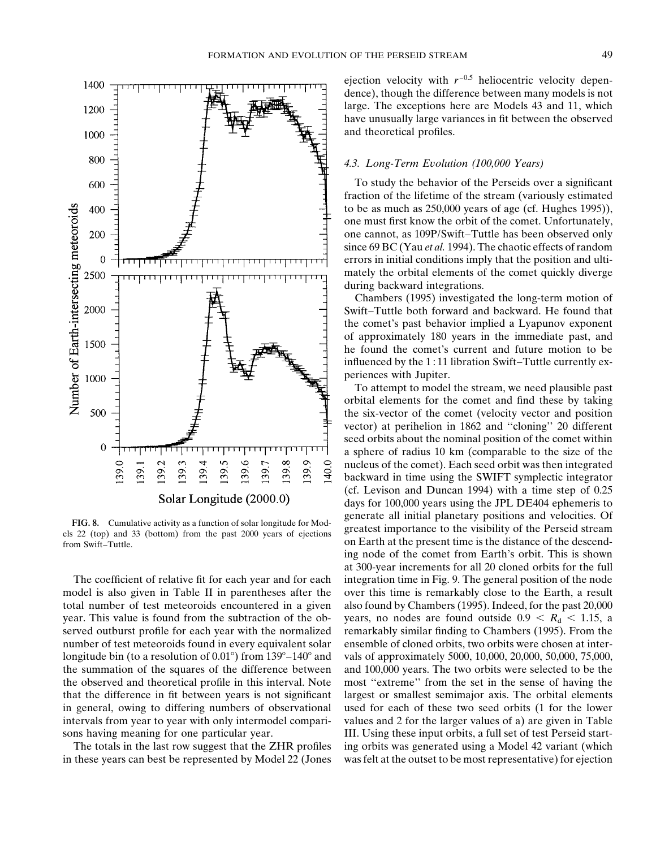

ejection velocity with  $r^{-0.5}$  heliocentric velocity dependence), though the difference between many models is not large. The exceptions here are Models 43 and 11, which have unusually large variances in fit between the observed and theoretical profiles.

# *4.3. Long-Term Evolution (100,000 Years)*

To study the behavior of the Perseids over a significant fraction of the lifetime of the stream (variously estimated to be as much as 250,000 years of age (cf. Hughes 1995)), one must first know the orbit of the comet. Unfortunately, one cannot, as 109P/Swift–Tuttle has been observed only since 69 BC (Yau *et al.* 1994). The chaotic effects of random errors in initial conditions imply that the position and ultimately the orbital elements of the comet quickly diverge during backward integrations.

Chambers (1995) investigated the long-term motion of Swift–Tuttle both forward and backward. He found that the comet's past behavior implied a Lyapunov exponent of approximately 180 years in the immediate past, and he found the comet's current and future motion to be influenced by the 1 : 11 libration Swift–Tuttle currently experiences with Jupiter.

To attempt to model the stream, we need plausible past orbital elements for the comet and find these by taking the six-vector of the comet (velocity vector and position vector) at perihelion in 1862 and ''cloning'' 20 different seed orbits about the nominal position of the comet within a sphere of radius 10 km (comparable to the size of the nucleus of the comet). Each seed orbit was then integrated backward in time using the SWIFT symplectic integrator (cf. Levison and Duncan 1994) with a time step of 0.25 days for 100,000 years using the JPL DE404 ephemeris to FIG. 8. Cumulative activity as a function of solar longitude for Models 22 (top) and 33 (bottom) from the past 2000 years of ejections and the present time is the distance of the descend-<br>from Swift-Tuttle. ing node of the comet from Earth's orbit. This is shown at 300-year increments for all 20 cloned orbits for the full The coefficient of relative fit for each year and for each integration time in Fig. 9. The general position of the node model is also given in Table II in parentheses after the over this time is remarkably close to the Earth, a result total number of test meteoroids encountered in a given also found by Chambers (1995). Indeed, for the past 20,000 year. This value is found from the subtraction of the ob- years, no nodes are found outside  $0.9 < R_d < 1.15$ , a served outburst profile for each year with the normalized remarkably similar finding to Chambers (1995). From the number of test meteoroids found in every equivalent solar ensemble of cloned orbits, two orbits were chosen at interlongitude bin (to a resolution of  $0.01^{\circ}$ ) from  $139^{\circ}$ –140° and vals of approximately 5000, 10,000, 20,000, 50,000, 75,000, the summation of the squares of the difference between and 100,000 years. The two orbits were selected to be the the observed and theoretical profile in this interval. Note most ''extreme'' from the set in the sense of having the that the difference in fit between years is not significant largest or smallest semimajor axis. The orbital elements in general, owing to differing numbers of observational used for each of these two seed orbits (1 for the lower intervals from year to year with only intermodel compari- values and 2 for the larger values of a) are given in Table sons having meaning for one particular year. III. Using these input orbits, a full set of test Perseid start-The totals in the last row suggest that the ZHR profiles ing orbits was generated using a Model 42 variant (which in these years can best be represented by Model 22 (Jones was felt at the outset to be most representative) for ejection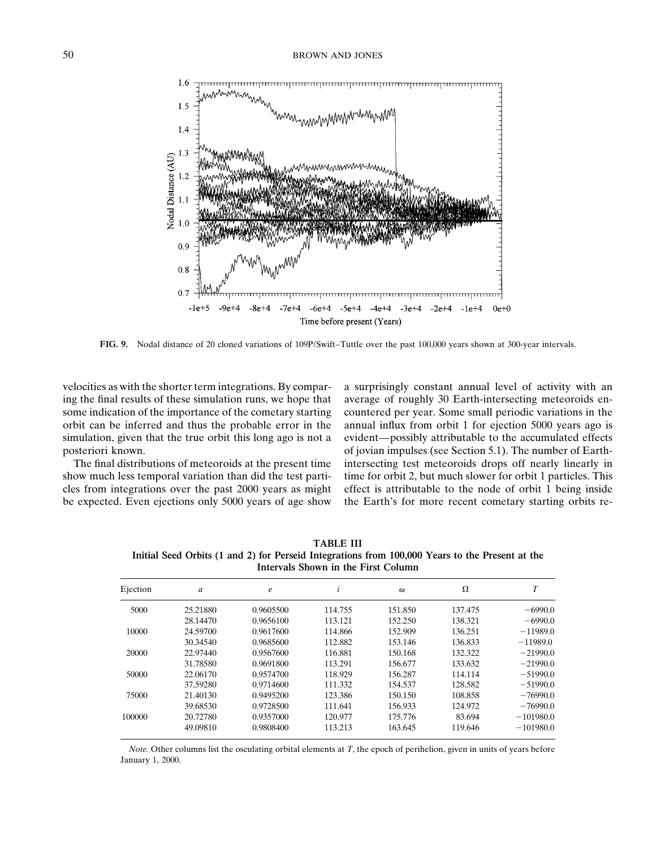

**FIG. 9.** Nodal distance of 20 cloned variations of 109P/Swift–Tuttle over the past 100,000 years shown at 300-year intervals.

velocities as with the shorter term integrations. By compar- a surprisingly constant annual level of activity with an ing the final results of these simulation runs, we hope that average of roughly 30 Earth-intersecting meteoroids ensome indication of the importance of the cometary starting countered per year. Some small periodic variations in the orbit can be inferred and thus the probable error in the annual influx from orbit 1 for ejection 5000 years ago is simulation, given that the true orbit this long ago is not a evident—possibly attributable to the accumulated effects posteriori known. of jovian impulses (see Section 5.1). The number of Earth-The final distributions of meteoroids at the present time intersecting test meteoroids drops off nearly linearly in show much less temporal variation than did the test parti- time for orbit 2, but much slower for orbit 1 particles. This cles from integrations over the past 2000 years as might effect is attributable to the node of orbit 1 being inside be expected. Even ejections only 5000 years of age show the Earth's for more recent cometary starting orbits re-

**TABLE III Initial Seed Orbits (1 and 2) for Perseid Integrations from 100,000 Years to the Present at the Intervals Shown in the First Column**

| Ejection | $\mathfrak a$ | e         | i       | $\omega$ | Ω       | $\tau$      |
|----------|---------------|-----------|---------|----------|---------|-------------|
| 5000     | 25.21880      | 0.9605500 | 114.755 | 151.850  | 137.475 | $-6990.0$   |
|          | 28.14470      | 0.9656100 | 113.121 | 152.250  | 138.321 | $-6990.0$   |
| 10000    | 24.59700      | 0.9617600 | 114,866 | 152.909  | 136.251 | $-11989.0$  |
|          | 30.34540      | 0.9685600 | 112.882 | 153.146  | 136.833 | $-11989.0$  |
| 20000    | 22.97440      | 0.9567600 | 116.881 | 150.168  | 132.322 | $-21990.0$  |
|          | 31.78580      | 0.9691800 | 113.291 | 156.677  | 133.632 | $-21990.0$  |
| 50000    | 22.06170      | 0.9574700 | 118.929 | 156.287  | 114.114 | $-51990.0$  |
|          | 37.59280      | 0.9714600 | 111.332 | 154.537  | 128.582 | $-51990.0$  |
| 75000    | 21.40130      | 0.9495200 | 123.386 | 150.150  | 108.858 | $-76990.0$  |
|          | 39.68530      | 0.9728500 | 111.641 | 156.933  | 124.972 | $-76990.0$  |
| 100000   | 20.72780      | 0.9357000 | 120.977 | 175.776  | 83.694  | $-101980.0$ |
|          | 49.09810      | 0.9808400 | 113.213 | 163.645  | 119.646 | $-101980.0$ |
|          |               |           |         |          |         |             |

*Note.* Other columns list the osculating orbital elements at *T*, the epoch of perihelion, given in units of years before January 1, 2000.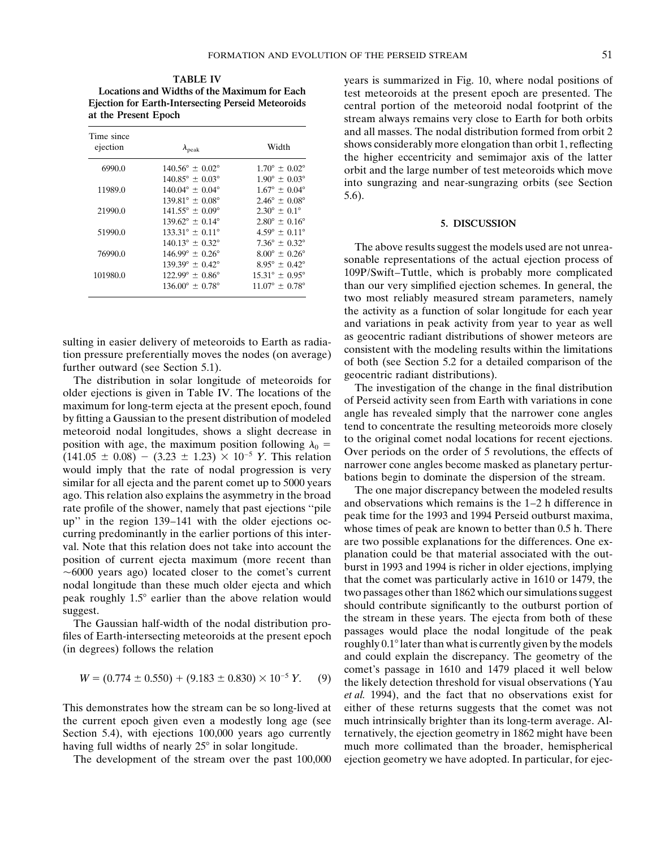| Time since<br>ejection | $\Lambda_{\rm peak}$              | Width                            |
|------------------------|-----------------------------------|----------------------------------|
| 6990.0                 | $140.56^{\circ} \pm 0.02^{\circ}$ | $1.70^{\circ} \pm 0.02^{\circ}$  |
|                        | $140.85^{\circ} \pm 0.03^{\circ}$ | $1.90^{\circ} \pm 0.03^{\circ}$  |
| 11989.0                | $140.04^{\circ} \pm 0.04^{\circ}$ | $1.67^{\circ} \pm 0.04^{\circ}$  |
|                        | $139.81^{\circ} \pm 0.08^{\circ}$ | $2.46^{\circ} + 0.08^{\circ}$    |
| 21990.0                | $141.55^{\circ} \pm 0.09^{\circ}$ | $2.30^{\circ} \pm 0.1^{\circ}$   |
|                        | $139.62^{\circ} \pm 0.14^{\circ}$ | $2.80^{\circ} \pm 0.16^{\circ}$  |
| 51990.0                | $133.31^{\circ} \pm 0.11^{\circ}$ | $4.59^{\circ} \pm 0.11^{\circ}$  |
|                        | $140.13^{\circ} \pm 0.32^{\circ}$ | $7.36^{\circ} \pm 0.32^{\circ}$  |
| 76990.0                | $146.99^{\circ} \pm 0.26^{\circ}$ | $8.00^{\circ} \pm 0.26^{\circ}$  |
|                        | $139.39^{\circ} \pm 0.42^{\circ}$ | $8.95^{\circ} \pm 0.42^{\circ}$  |
| 101980.0               | $122.99^{\circ} \pm 0.86^{\circ}$ | $15.31^{\circ} \pm 0.95^{\circ}$ |
|                        | $136.00^{\circ} \pm 0.78^{\circ}$ | $11.07^{\circ} \pm 0.78^{\circ}$ |

sulting in easier delivery of meteoroids to Earth as radia as geocomic radiat distributions of shower meteors are<br>consistent with the modelling results within the limitations<br>further outward (see Section 5.1) of both (see

$$
W = (0.774 \pm 0.550) + (9.183 \pm 0.830) \times 10^{-5} Y. \tag{9}
$$

the current epoch given even a modestly long age (see much intrinsically brighter than its long-term average. Al-Section 5.4), with ejections 100,000 years ago currently ternatively, the ejection geometry in 1862 might have been having full widths of nearly 25° in solar longitude. much more collimated than the broader, hemispherical

**TABLE IV** years is summarized in Fig. 10, where nodal positions of Locations and Widths of the Maximum for Each the meteoroids at the present enoch are presented. The Locations and Widths of the Maximum for Each<br>
Ejection for Earth-Intersecting Perseid Meteoroids<br>
at the Present Epoch<br>
at the Present Epoch<br>
Stream always remains very close to Earth for both orbits and all masses. The nodal distribution formed from orbit 2 shows considerably more elongation than orbit 1, reflecting the higher eccentricity and semimajor axis of the latter orbit and the large number of test meteoroids which move<br>into sungrazing and near-sungrazing orbits (see Section<br>5.6).

### 139.628 6 0.148 2.808 6 0.168 **5. DISCUSSION**

The above results suggest the models used are not unrea-<br>sonable representations of the actual ejection process of 109P/Swift–Tuttle, which is probably more complicated than our very simplified ejection schemes. In general, the two most reliably measured stream parameters, namely the activity as a function of solar longitude for each year and variations in peak activity from year to year as well

comet's passage in 1610 and 1479 placed it well below the likely detection threshold for visual observations (Yau *et al.* 1994), and the fact that no observations exist for This demonstrates how the stream can be so long-lived at either of these returns suggests that the comet was not The development of the stream over the past 100,000 ejection geometry we have adopted. In particular, for ejec-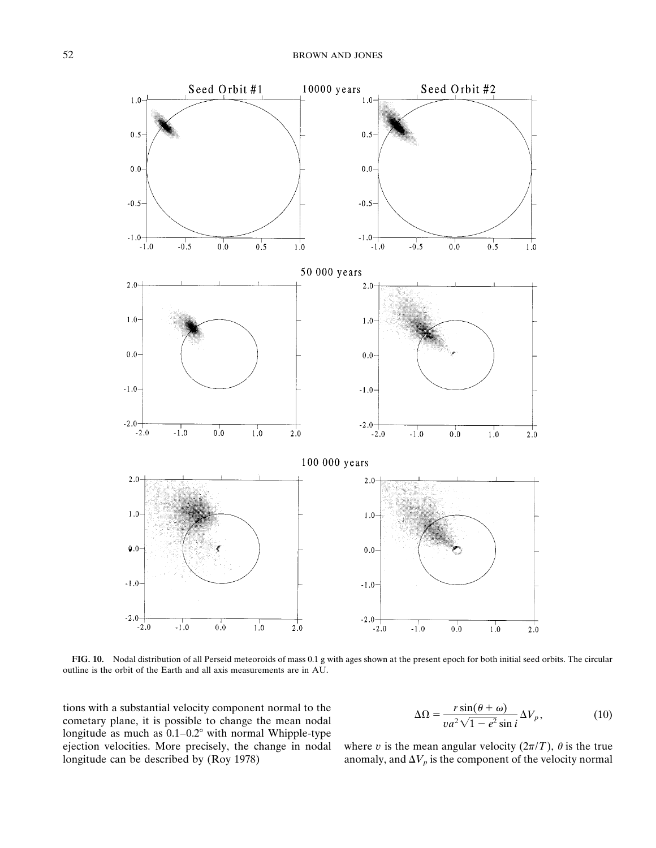

**FIG. 10.** Nodal distribution of all Perseid meteoroids of mass 0.1 g with ages shown at the present epoch for both initial seed orbits. The circular outline is the orbit of the Earth and all axis measurements are in AU.

tions with a substantial velocity component normal to the cometary plane, it is possible to change the mean nodal longitude as much as  $0.1-0.2^{\circ}$  with normal Whipple-type ejection velocities. More precisely, the change in nodal where *v* is the mean angular velocity  $(2\pi/T)$ ,  $\theta$  is the true longitude can be described by (Roy 1978) anomaly, and  $\Delta V_p$  is the component of the velocity normal

$$
\Delta\Omega = \frac{r\sin(\theta + \omega)}{va^2\sqrt{1 - e^2}\sin i}\Delta V_p, \tag{10}
$$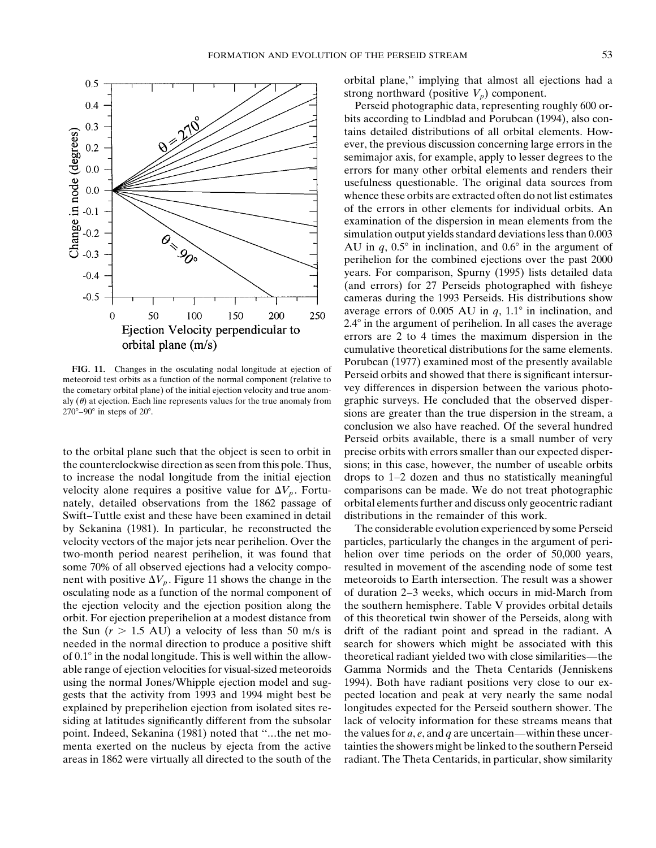

the counterclockwise direction as seen from this pole. Thus, sions; in this case, however, the number of useable orbits to increase the nodal longitude from the initial ejection drops to  $1-2$  dozen and thus no statistically meaningful velocity alone requires a positive value for  $\Delta V_p$ . Fortu- comparisons can be made. We do not treat photographic nately, detailed observations from the 1862 passage of orbital elements further and discuss only geocentric radiant Swift–Tuttle exist and these have been examined in detail distributions in the remainder of this work. by Sekanina (1981). In particular, he reconstructed the The considerable evolution experienced by some Perseid velocity vectors of the major jets near perihelion. Over the particles, particularly the changes in the argument of peritwo-month period nearest perihelion, it was found that helion over time periods on the order of 50,000 years, some 70% of all observed ejections had a velocity compo- resulted in movement of the ascending node of some test nent with positive  $\Delta V_p$ . Figure 11 shows the change in the meteoroids to Earth intersection. The result was a shower osculating node as a function of the normal component of of duration 2–3 weeks, which occurs in mid-March from the ejection velocity and the ejection position along the the southern hemisphere. Table V provides orbital details orbit. For ejection preperihelion at a modest distance from of this theoretical twin shower of the Perseids, along with the Sun  $(r > 1.5 \text{ AU})$  a velocity of less than 50 m/s is drift of the radiant point and spread in the radiant. A needed in the normal direction to produce a positive shift search for showers which might be associated with this of 0.18 in the nodal longitude. This is well within the allow- theoretical radiant yielded two with close similarities—the able range of ejection velocities for visual-sized meteoroids Gamma Normids and the Theta Centarids (Jenniskens using the normal Jones/Whipple ejection model and sug- 1994). Both have radiant positions very close to our exgests that the activity from 1993 and 1994 might best be pected location and peak at very nearly the same nodal explained by preperihelion ejection from isolated sites re- longitudes expected for the Perseid southern shower. The siding at latitudes significantly different from the subsolar lack of velocity information for these streams means that point. Indeed, Sekanina (1981) noted that ''...the net mo- the values for *a*, *e*, and *q* are uncertain—within these uncermenta exerted on the nucleus by ejecta from the active tainties the showers might be linked to the southern Perseid areas in 1862 were virtually all directed to the south of the radiant. The Theta Centarids, in particular, show similarity

orbital plane,'' implying that almost all ejections had a strong northward (positive  $V_p$ ) component.

Perseid photographic data, representing roughly 600 orbits according to Lindblad and Porubcan (1994), also contains detailed distributions of all orbital elements. However, the previous discussion concerning large errors in the semimajor axis, for example, apply to lesser degrees to the errors for many other orbital elements and renders their usefulness questionable. The original data sources from whence these orbits are extracted often do not list estimates of the errors in other elements for individual orbits. An examination of the dispersion in mean elements from the simulation output yields standard deviations less than 0.003 AU in  $q$ ,  $0.5^\circ$  in inclination, and  $0.6^\circ$  in the argument of perihelion for the combined ejections over the past 2000 years. For comparison, Spurny (1995) lists detailed data (and errors) for 27 Perseids photographed with fisheye cameras during the 1993 Perseids. His distributions show average errors of 0.005 AU in  $q$ , 1.1° in inclination, and  $2.4^{\circ}$  in the argument of perihelion. In all cases the average errors are 2 to 4 times the maximum dispersion in the cumulative theoretical distributions for the same elements. FIG. 11. Changes in the osculating nodal longitude at ejection of<br>meteoroid test orbits as a function of the normal component (relative to<br>Perseid orbits and showed that there is significant intersur-<br>meteoroid test orbits the cometary orbital plane) of the initial ejection velocity and true anom- vey differences in dispersion between the various photoaly  $(\theta)$  at ejection. Each line represents values for the true anomaly from graphic surveys. He concluded that the observed disper- $270^{\circ}-90^{\circ}$  in steps of  $20^{\circ}$ . conclusion we also have reached. Of the several hundred Perseid orbits available, there is a small number of very to the orbital plane such that the object is seen to orbit in precise orbits with errors smaller than our expected disper-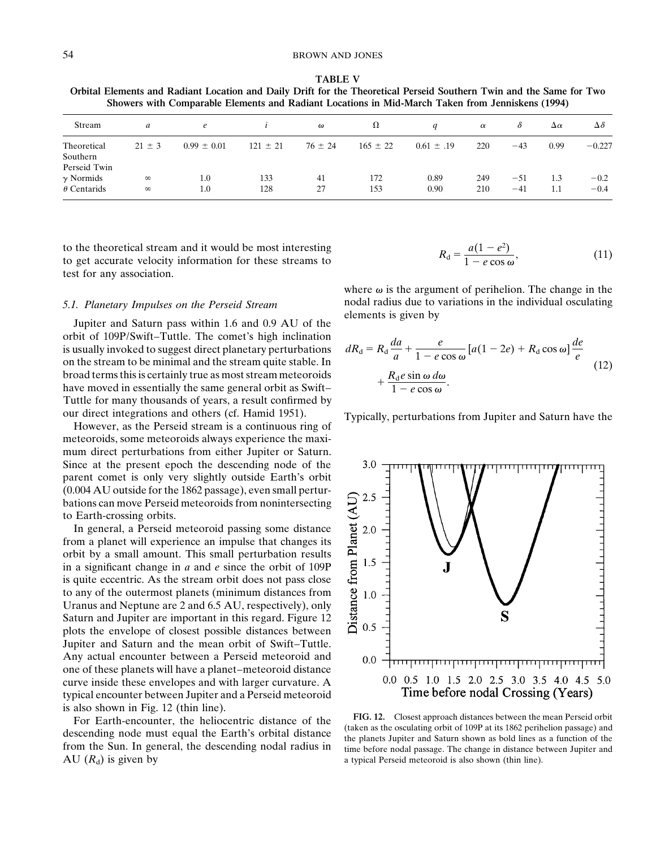# **TABLE V**

| Stream                                  | a                        | $\epsilon$         |              | $\omega$    | Ω            | $\boldsymbol{q}$ | $\alpha$   | δ              | $\Delta \alpha$ | $\Delta\delta$   |
|-----------------------------------------|--------------------------|--------------------|--------------|-------------|--------------|------------------|------------|----------------|-----------------|------------------|
| Theoretical<br>Southern<br>Perseid Twin | $21 \pm 3$               | $0.99 \pm 0.01$    | $121 \pm 21$ | $76 \pm 24$ | $165 \pm 22$ | $0.61 \pm .19$   | 220        | $-43$          | 0.99            | $-0.227$         |
| $\gamma$ Normids<br>$\theta$ Centarids  | $\infty$<br>${}^{\circ}$ | $1.0\,$<br>$1.0\,$ | 133<br>128   | 41<br>27    | 172<br>153   | 0.89<br>0.90     | 249<br>210 | $-51$<br>$-41$ | 1.3<br>$1.1\,$  | $-0.2$<br>$-0.4$ |

**Orbital Elements and Radiant Location and Daily Drift for the Theoretical Perseid Southern Twin and the Same for Two Showers with Comparable Elements and Radiant Locations in Mid-March Taken from Jenniskens (1994)**

to the theoretical stream and it would be most interesting to get accurate velocity information for these streams to test for any association.

Jupiter and Saturn pass within 1.6 and 0.9 AU of the orbit of 109P/Swift–Tuttle. The comet's high inclination is usually invoked to suggest direct planetary perturbations on the stream to be minimal and the stream quite stable. In broad terms this is certainly true as most stream meteoroids <sup>1</sup> have moved in essentially the same general orbit as Swift-Tuttle for many thousands of years, a result confirmed by our direct integrations and others (cf. Hamid 1951). Typically, perturbations from Jupiter and Saturn have the However, as the Perseid stream is a continuous ring of

meteoroids, some meteoroids always experience the maximum direct perturbations from either Jupiter or Saturn. Since at the present epoch the descending node of the parent comet is only very slightly outside Earth's orbit (0.004 AU outside for the 1862 passage), even small perturbations can move Perseid meteoroids from nonintersecting to Earth-crossing orbits.

In general, a Perseid meteoroid passing some distance from a planet will experience an impulse that changes its orbit by a small amount. This small perturbation results in a significant change in *a* and *e* since the orbit of 109P is quite eccentric. As the stream orbit does not pass close to any of the outermost planets (minimum distances from Uranus and Neptune are 2 and 6.5 AU, respectively), only Saturn and Jupiter are important in this regard. Figure 12 plots the envelope of closest possible distances between Jupiter and Saturn and the mean orbit of Swift–Tuttle. Any actual encounter between a Perseid meteoroid and one of these planets will have a planet–meteoroid distance curve inside these envelopes and with larger curvature. A typical encounter between Jupiter and a Perseid meteoroid

from the Sun. In general, the descending nodal radius in time before nodal passage. The change in distance between Jupiter and  $AU(R_d)$  is given by

$$
R_{\rm d} = \frac{a(1 - e^2)}{1 - e \cos \omega},\tag{11}
$$

where  $\omega$  is the argument of perihelion. The change in the *5.1. Planetary Impulses on the Perseid Stream* nodal radius due to variations in the individual osculating

$$
dR_{\rm d} = R_{\rm d} \frac{da}{a} + \frac{e}{1 - e \cos \omega} \left[ a(1 - 2e) + R_{\rm d} \cos \omega \right] \frac{de}{e}
$$
  
+ 
$$
\frac{R_{\rm d}e \sin \omega \, d\omega}{1 - e \cos \omega}.
$$
 (12)



is also shown in Fig. 12 (thin line).<br>FIG. 12. Closest approach distances between the mean Perseid orbit<br>descending node must equal the Earth's orbital distance<br>from the Sun. In general, the descending nodal radius in<br>time a typical Perseid meteoroid is also shown (thin line).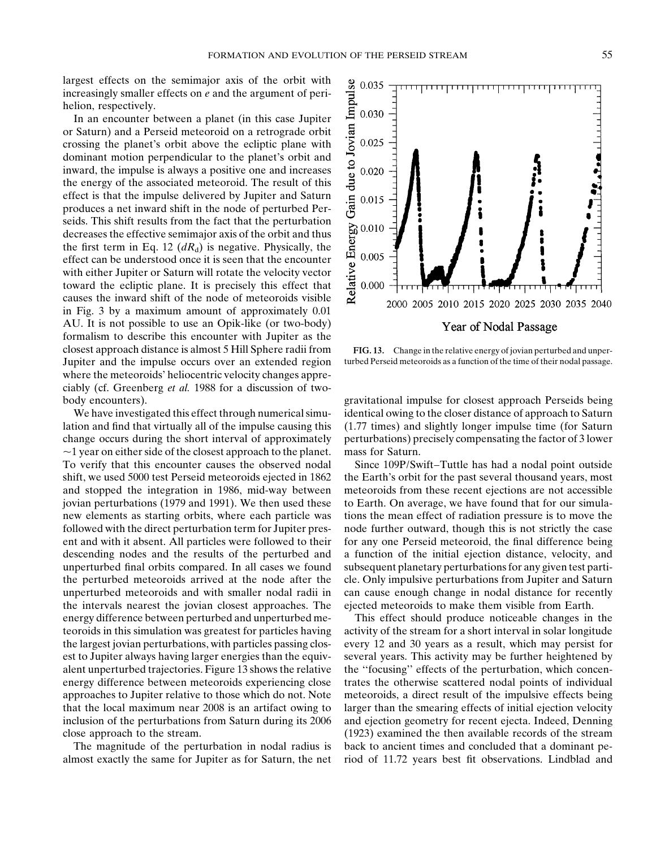largest effects on the semimajor axis of the orbit with increasingly smaller effects on *e* and the argument of perihelion, respectively.

In an encounter between a planet (in this case Jupiter or Saturn) and a Perseid meteoroid on a retrograde orbit crossing the planet's orbit above the ecliptic plane with dominant motion perpendicular to the planet's orbit and inward, the impulse is always a positive one and increases the energy of the associated meteoroid. The result of this effect is that the impulse delivered by Jupiter and Saturn produces a net inward shift in the node of perturbed Perseids. This shift results from the fact that the perturbation decreases the effective semimajor axis of the orbit and thus the first term in Eq. 12  $(dR_d)$  is negative. Physically, the effect can be understood once it is seen that the encounter with either Jupiter or Saturn will rotate the velocity vector toward the ecliptic plane. It is precisely this effect that causes the inward shift of the node of meteoroids visible in Fig. 3 by a maximum amount of approximately 0.01 AU. It is not possible to use an Opik-like (or two-body) formalism to describe this encounter with Jupiter as the closest approach distance is almost 5 Hill Sphere radii from **FIG. 13.** Change in the relative energy of jovian perturbed and unper-Jupiter and the impulse occurs over an extended region turbed Perseid meteoroids as a function of the time of their nodal passage. where the meteoroids' heliocentric velocity changes appreciably (cf. Greenberg *et al.* 1988 for a discussion of twobody encounters). gravitational impulse for closest approach Perseids being

 $\sim$ 1 year on either side of the closest approach to the planet. mass for Saturn. To verify that this encounter causes the observed nodal Since 109P/Swift–Tuttle has had a nodal point outside shift, we used 5000 test Perseid meteoroids ejected in 1862 the Earth's orbit for the past several thousand years, most and stopped the integration in 1986, mid-way between meteoroids from these recent ejections are not accessible jovian perturbations (1979 and 1991). We then used these to Earth. On average, we have found that for our simulanew elements as starting orbits, where each particle was tions the mean effect of radiation pressure is to move the followed with the direct perturbation term for Jupiter pres- node further outward, though this is not strictly the case ent and with it absent. All particles were followed to their for any one Perseid meteoroid, the final difference being descending nodes and the results of the perturbed and a function of the initial ejection distance, velocity, and unperturbed final orbits compared. In all cases we found subsequent planetary perturbations for any given test partithe perturbed meteoroids arrived at the node after the cle. Only impulsive perturbations from Jupiter and Saturn unperturbed meteoroids and with smaller nodal radii in can cause enough change in nodal distance for recently the intervals nearest the jovian closest approaches. The ejected meteoroids to make them visible from Earth. energy difference between perturbed and unperturbed me- This effect should produce noticeable changes in the

almost exactly the same for Jupiter as for Saturn, the net riod of 11.72 years best fit observations. Lindblad and

We have investigated this effect through numerical simu-<br>identical owing to the closer distance of approach to Saturn lation and find that virtually all of the impulse causing this (1.77 times) and slightly longer impulse time (for Saturn change occurs during the short interval of approximately perturbations) precisely compensating the factor of 3 lower

teoroids in this simulation was greatest for particles having activity of the stream for a short interval in solar longitude the largest jovian perturbations, with particles passing clos- every 12 and 30 years as a result, which may persist for est to Jupiter always having larger energies than the equiv- several years. This activity may be further heightened by alent unperturbed trajectories. Figure 13 shows the relative the "focusing" effects of the perturbation, which concenenergy difference between meteoroids experiencing close trates the otherwise scattered nodal points of individual approaches to Jupiter relative to those which do not. Note meteoroids, a direct result of the impulsive effects being that the local maximum near 2008 is an artifact owing to larger than the smearing effects of initial ejection velocity inclusion of the perturbations from Saturn during its 2006 and ejection geometry for recent ejecta. Indeed, Denning close approach to the stream. (1923) examined the then available records of the stream The magnitude of the perturbation in nodal radius is back to ancient times and concluded that a dominant pe-

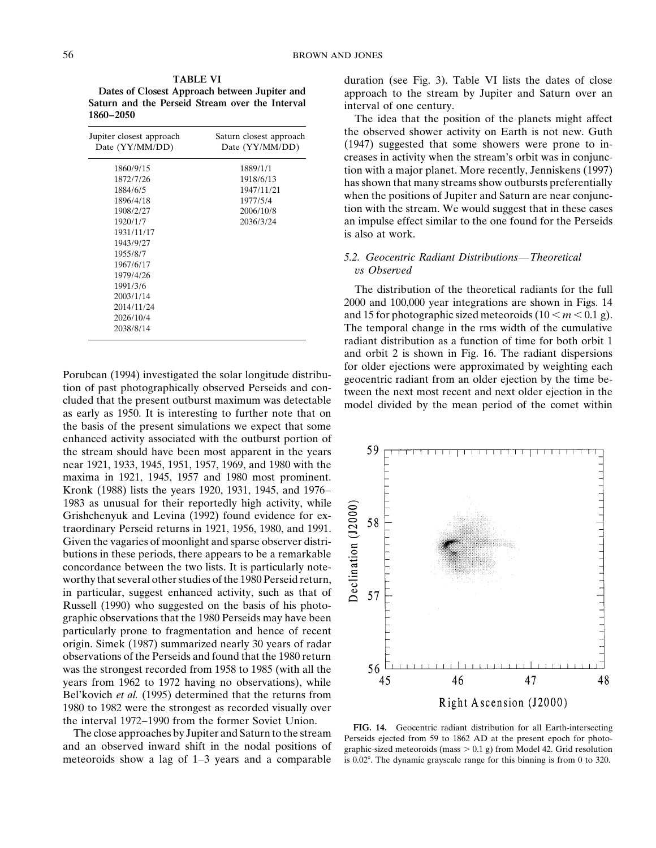Dates of Closest Approach between Jupiter and<br>Saturn and the Perseid Stream over the Interval<br>1860–2050<br>The idea that the position of the planets might affect<br>The idea that the position of the planets might affect

| Jupiter closest approach<br>Date (YY/MM/DD) | Saturn closest approach<br>Date (YY/MM/DD) |
|---------------------------------------------|--------------------------------------------|
| 1860/9/15                                   | 1889/1/1                                   |
| 1872/7/26                                   | 1918/6/13                                  |
| 1884/6/5                                    | 1947/11/21                                 |
| 1896/4/18                                   | 1977/5/4                                   |
| 1908/2/27                                   | 2006/10/8                                  |
| 1920/1/7                                    | 2036/3/24                                  |
| 1931/11/17                                  |                                            |
| 1943/9/27                                   |                                            |
| 1955/8/7                                    |                                            |
| 1967/6/17                                   |                                            |
| 1979/4/26                                   |                                            |
| 1991/3/6                                    |                                            |
| 2003/1/14                                   |                                            |
| 2014/11/24                                  |                                            |
| 2026/10/4                                   |                                            |
| 2038/8/14                                   |                                            |
|                                             |                                            |

the basis of the present simulations we expect that some enhanced activity associated with the outburst portion of the stream should have been most apparent in the years near 1921, 1933, 1945, 1951, 1957, 1969, and 1980 with the maxima in 1921, 1945, 1957 and 1980 most prominent. Kronk (1988) lists the years 1920, 1931, 1945, and 1976– 1983 as unusual for their reportedly high activity, while Grishchenyuk and Levina (1992) found evidence for extraordinary Perseid returns in 1921, 1956, 1980, and 1991. Given the vagaries of moonlight and sparse observer distributions in these periods, there appears to be a remarkable concordance between the two lists. It is particularly noteworthy that several other studies of the 1980 Perseid return, in particular, suggest enhanced activity, such as that of Russell (1990) who suggested on the basis of his photographic observations that the 1980 Perseids may have been particularly prone to fragmentation and hence of recent origin. Simek (1987) summarized nearly 30 years of radar observations of the Perseids and found that the 1980 return was the strongest recorded from 1958 to 1985 (with all the years from 1962 to 1972 having no observations), while Bel'kovich *et al.* (1995) determined that the returns from 1980 to 1982 were the strongest as recorded visually over

meteoroids show a lag of  $1-3$  years and a comparable is 0.02°. The dynamic grayscale range for this binning is from 0 to 320.

**TABLE VI** duration (see Fig. 3). Table VI lists the dates of close<br>Dates of Closest Approach between Jupiter and<br>approach to the stream by Jupiter and Saturn over an

the observed shower activity on Earth is not new. Guth  $(1947)$  suggested that some showers were prone to increases in activity when the stream's orbit was in conjunction with a major planet. More recently, Jenniskens (1997)<br>has shown that many streams show outbursts preferentially<br>when the positions of Jupiter and Saturn are near conjunction with the stream. We would suggest that in these cases an impulse effect similar to the one found for the Perseids is also at work.

# 1955/8/7 *5.2. Geocentric Radiant Distributions—Theoretical <i>s Observed*

The distribution of the theoretical radiants for the full  $2000$  and  $100,000$  year integrations are shown in Figs. 14 and 15 for photographic sized meteoroids  $(10 \le m \le 0.1 \text{ g})$ . The temporal change in the rms width of the cumulative radiant distribution as a function of time for both orbit 1 and orbit 2 is shown in Fig. 16. The radiant dispersions Porubcan (1994) investigated the solar longitude distribu-<br>tion of past photographically observed Perseids and con-<br>cluded that the present outburst maximum was detectable<br>as early as 1950. It is interesting to further not



the interval 1972–1990 from the former Soviet Union.<br>The close approaches by Jupiter and Saturn to the stream<br>Perseids ejected from 59 to 1862 AD at the present epoch for photoand an observed inward shift in the nodal positions of graphic-sized meteoroids (mass  $> 0.1$  g) from Model 42. Grid resolution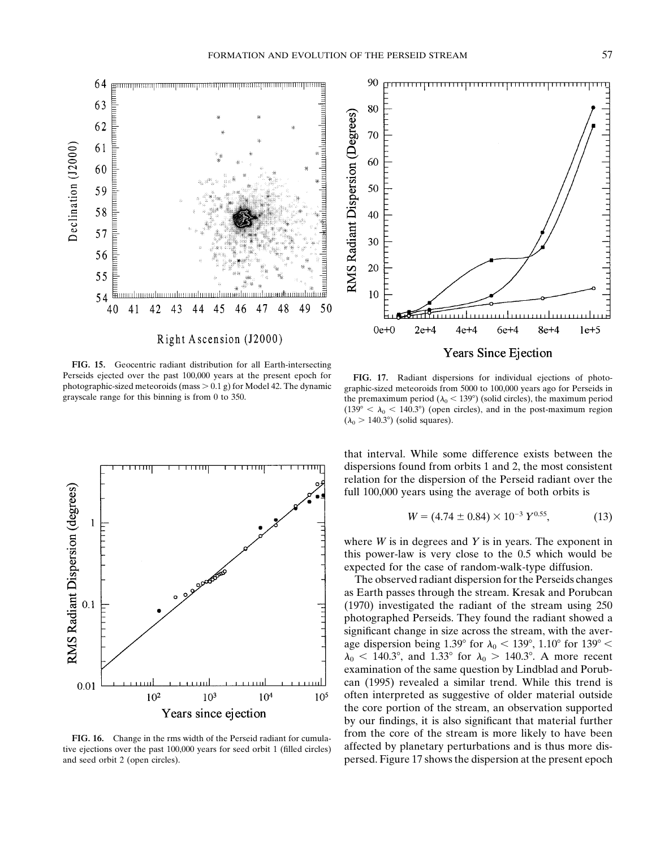50

49



44

42 43

45 46

Right Ascension (J2000)

47 4

en and an anti-manufacture and an anti-manufacture and an anti-

64

63

62

61

60

59

58

57

56

55

54

40 41

Declination (J2000)



photographic-sized meteoroids (mass  $> 0.1$  g) for Model 42. The dynamic graphic-sized meteoroids from 5000 to 100,000 years ago for Perseids in grayscale range for this binning is from 0 to 350. the premaximum period ( $\lambda_0$  < 139°) (solid circles), the maximum period  $(139^{\circ} < \lambda_0 < 140.3^{\circ})$  (open circles), and in the post-maximum region  $(\lambda_0 > 140.3^\circ)$  (solid squares).

that interval. While some difference exists between the dispersions found from orbits 1 and 2, the most consistent relation for the dispersion of the Perseid radiant over the full 100,000 years using the average of both orbits is

$$
W = (4.74 \pm 0.84) \times 10^{-3} Y^{0.55}, \tag{13}
$$

where *W* is in degrees and *Y* is in years. The exponent in this power-law is very close to the 0.5 which would be expected for the case of random-walk-type diffusion.

The observed radiant dispersion for the Perseids changes as Earth passes through the stream. Kresak and Porubcan (1970) investigated the radiant of the stream using 250 photographed Perseids. They found the radiant showed a significant change in size across the stream, with the average dispersion being 1.39° for  $\lambda_0$  < 139°, 1.10° for 139° <  $\lambda_0$  < 140.3°, and 1.33° for  $\lambda_0$  > 140.3°. A more recent examination of the same question by Lindblad and Porubcan (1995) revealed a similar trend. While this trend is often interpreted as suggestive of older material outside the core portion of the stream, an observation supported by our findings, it is also significant that material further FIG. 16. Change in the rms width of the Perseid radiant for cumula-<br> **FIG. 16.** Change in the rms width of the Perseid radiant for cumula-<br> **FIG. 16.** Change in the rms width of the Perseid radiant for cumulative ejections over the past 100,000 years for seed orbit 1 (filled circles) affected by planetary perturbations and is thus more disand seed orbit 2 (open circles). persed. Figure 17 shows the dispersion at the present epoch

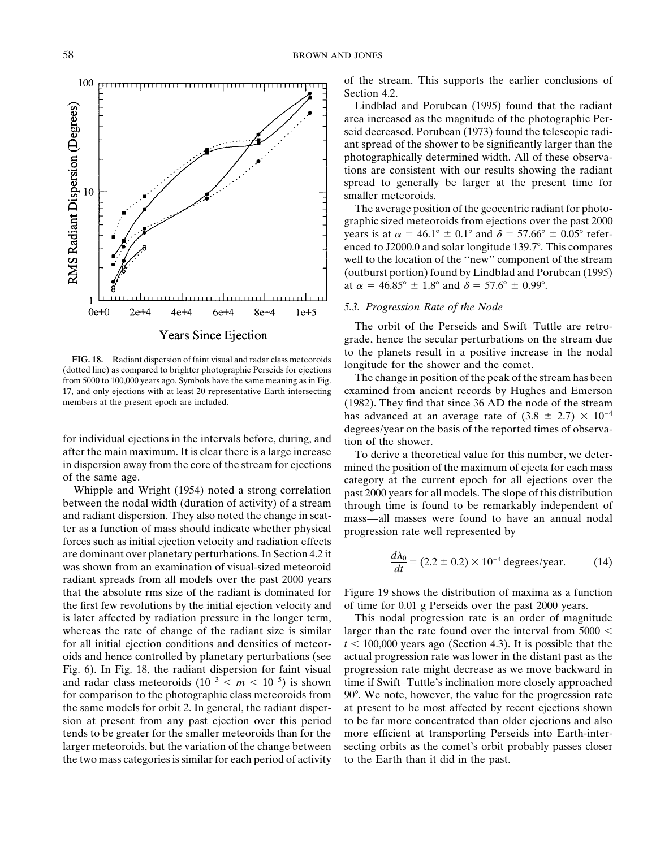

FIG. 18. Radiant dispersion of faint visual and radar class meteoroids<br>(dotted line) as compared to brighter photographic Perseids for ejections<br>from 5000 to 100,000 years ago. Symbols have the same meaning as in Eig. The 17, and only ejections with at least 20 representative Earth-intersecting

after the main maximum. It is clear there is a large increase To derive a theoretical value for this number, we deter-<br>in dispersion away from the core of the stream for ejections mined the position of the maximum of eject

ter as a function of mass should indicate whether physical progression rate well represented by forces such as initial ejection velocity and radiation effects are dominant over planetary perturbations. In Section 4.2 it was shown from an examination of visual-sized meteoroid radiant spreads from all models over the past 2000 years that the absolute rms size of the radiant is dominated for Figure 19 shows the distribution of maxima as a function the first few revolutions by the initial ejection velocity and of time for 0.01 g Perseids over the past 2000 years. the two mass categories is similar for each period of activity to the Earth than it did in the past.

of the stream. This supports the earlier conclusions of Section 4.2.

Lindblad and Porubcan (1995) found that the radiant area increased as the magnitude of the photographic Perseid decreased. Porubcan (1973) found the telescopic radiant spread of the shower to be significantly larger than the photographically determined width. All of these observations are consistent with our results showing the radiant spread to generally be larger at the present time for smaller meteoroids.

The average position of the geocentric radiant for photographic sized meteoroids from ejections over the past 2000 years is at  $\alpha = 46.1^{\circ} \pm 0.1^{\circ}$  and  $\delta = 57.66^{\circ} \pm 0.05^{\circ}$  referenced to J2000.0 and solar longitude 139.7°. This compares well to the location of the ''new'' component of the stream (outburst portion) found by Lindblad and Porubcan (1995) at  $\alpha = 46.85^{\circ} \pm 1.8^{\circ}$  and  $\delta = 57.6^{\circ} \pm 0.99^{\circ}$ .

# *5.3. Progression Rate of the Node*

The orbit of the Perseids and Swift–Tuttle are retrograde, hence the secular perturbations on the stream due

from 5000 to 100,000 years ago. Symbols have the same meaning as in Fig. The change in position of the peak of the stream has been<br>17, and only ejections with at least 20 representative Earth-intersecting examined from anc members at the present epoch are included. (1982). They find that since 36 AD the node of the stream has advanced at an average rate of  $(3.8 \pm 2.7) \times 10^{-4}$ degrees/year on the basis of the reported times of observa-<br>for individual ejections in the intervals before, during, and tion of the shower.

in dispersion away from the core of the stream for ejections<br>of the same age.<br>Whipple and Wright (1954) noted a strong correlation<br>between the nodal width (duration of activity) of a stream<br>and radiant dispersion. They als

$$
\frac{d\lambda_0}{dt} = (2.2 \pm 0.2) \times 10^{-4} \text{ degrees/year.}
$$
 (14)

is later affected by radiation pressure in the longer term, This nodal progression rate is an order of magnitude whereas the rate of change of the radiant size is similar larger than the rate found over the interval from  $5000 <$ for all initial ejection conditions and densities of meteor- $t < 100,000$  years ago (Section 4.3). It is possible that the oids and hence controlled by planetary perturbations (see actual progression rate was lower in the distant past as the Fig. 6). In Fig. 18, the radiant dispersion for faint visual progression rate might decrease as we move backward in and radar class meteoroids  $(10^{-3} < m < 10^{-5})$  is shown time if Swift–Tuttle's inclination more closely approached for comparison to the photographic class meteoroids from  $90^\circ$ . We note, however, the value for the progression rate the same models for orbit 2. In general, the radiant disper- at present to be most affected by recent ejections shown sion at present from any past ejection over this period to be far more concentrated than older ejections and also tends to be greater for the smaller meteoroids than for the more efficient at transporting Perseids into Earth-interlarger meteoroids, but the variation of the change between secting orbits as the comet's orbit probably passes closer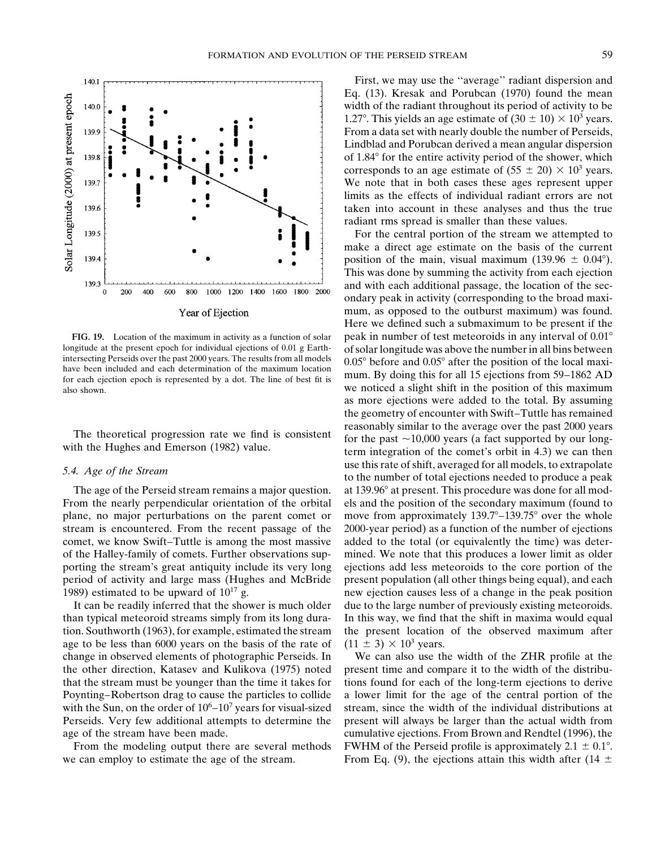

age to be less than 6000 years on the basis of the rate of  $(11 \pm 3) \times 10^3$  years. change in observed elements of photographic Perseids. In We can also use the width of the ZHR profile at the with the Sun, on the order of  $10^6 - 10^7$  years for visual-sized

First, we may use the ''average'' radiant dispersion and Eq. (13). Kresak and Porubcan (1970) found the mean width of the radiant throughout its period of activity to be 1.27°. This yields an age estimate of  $(30 \pm 10) \times 10^3$  years. From a data set with nearly double the number of Perseids, Lindblad and Porubcan derived a mean angular dispersion of  $1.84^{\circ}$  for the entire activity period of the shower, which corresponds to an age estimate of  $(55 \pm 20) \times 10^3$  years. We note that in both cases these ages represent upper limits as the effects of individual radiant errors are not taken into account in these analyses and thus the true radiant rms spread is smaller than these values.

For the central portion of the stream we attempted to make a direct age estimate on the basis of the current position of the main, visual maximum (139.96  $\pm$  0.04°). This was done by summing the activity from each ejection and with each additional passage, the location of the secondary peak in activity (corresponding to the broad maximum, as opposed to the outburst maximum) was found. Here we defined such a submaximum to be present if the FIG. 19. Location of the maximum in activity as a function of solar peak in number of test meteoroids in any interval of 0.01<sup>°</sup> longitude at the present epoch for individual ejections of 0.01 g Earth-<br>intersecting Perseids over the past 2000 years. The results from all models<br>have been included and each determination of the maximum location<br> $0.05^$ for each ejection epoch is represented by a dot. The line of best fit is mum. By doing this for all 15 ejections from 59–1862 AD also shown. we noticed a slight shift in the position of this maximum as more ejections were added to the total. By assuming the geometry of encounter with Swift–Tuttle has remained The theoretical progression rate we find is consistent<br>with the Hughes and Emerson (1982) value.<br>with the Hughes and Emerson (1982) value.<br>term integration of the comet's orbit in 4.3) we can then use this rate of shift, averaged for all models, to extrapolate *5.4. Age of the Stream* to the number of total ejections needed to produce a peak The age of the Perseid stream remains a major question. at 139.96° at present. This procedure was done for all mod-From the nearly perpendicular orientation of the orbital els and the position of the secondary maximum (found to plane, no major perturbations on the parent comet or move from approximately  $139.7^{\circ} - 139.75^{\circ}$  over the whole stream is encountered. From the recent passage of the 2000-year period) as a function of the number of ejections comet, we know Swift–Tuttle is among the most massive added to the total (or equivalently the time) was deterof the Halley-family of comets. Further observations sup- mined. We note that this produces a lower limit as older porting the stream's great antiquity include its very long ejections add less meteoroids to the core portion of the period of activity and large mass (Hughes and McBride present population (all other things being equal), and each 1989) estimated to be upward of  $10^{17}$  g. hew ejection causes less of a change in the peak position It can be readily inferred that the shower is much older due to the large number of previously existing meteoroids. than typical meteoroid streams simply from its long dura- In this way, we find that the shift in maxima would equal tion. Southworth (1963), for example, estimated the stream the present location of the observed maximum after

the other direction, Katasev and Kulikova (1975) noted present time and compare it to the width of the distributhat the stream must be younger than the time it takes for tions found for each of the long-term ejections to derive Poynting–Robertson drag to cause the particles to collide a lower limit for the age of the central portion of the stream, since the width of the individual distributions at Perseids. Very few additional attempts to determine the present will always be larger than the actual width from age of the stream have been made. cumulative ejections. From Brown and Rendtel (1996), the From the modeling output there are several methods FWHM of the Perseid profile is approximately 2.1  $\pm$  0.1°. we can employ to estimate the age of the stream. From Eq. (9), the ejections attain this width after (14  $\pm$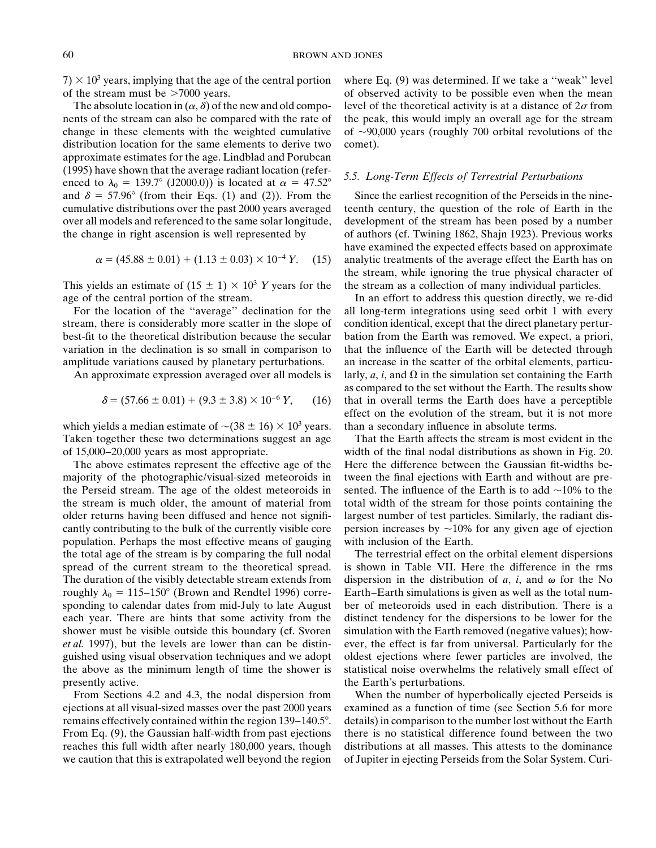$7) \times 10^3$  years, implying that the age of the central portion where Eq. (9) was determined. If we take a "weak" level of the stream must be  $>7000$  years. of observed activity to be possible even when the mean

distribution location for the same elements to derive two comet). approximate estimates for the age. Lindblad and Porubcan (1995) have shown that the average radiant location (refer-<br>enced to  $\lambda_0 = 139.7^\circ$  (J2000.0)) is located at  $\alpha = 47.52^\circ$  5.5. Long-Term Effects of Terrestrial Perturbations and  $\delta = 57.96^{\circ}$  (from their Eqs. (1) and (2)). From the Since the earliest recognition of the Perseids in the ninecumulative distributions over the past 2000 years averaged teenth century, the question of the role of Earth in the over all models and referenced to the same solar longitude, development of the stream has been posed by a number the change in right ascension is well represented by of authors (cf. Twining 1862, Shajn 1923). Previous works

$$
\alpha = (45.88 \pm 0.01) + (1.13 \pm 0.03) \times 10^{-4} Y. \quad (15)
$$

stream, there is considerably more scatter in the slope of condition identical, except that the direct planetary perturbest-fit to the theoretical distribution because the secular bation from the Earth was removed. We expect, a priori, variation in the declination is so small in comparison to that the influence of the Earth will be detected through amplitude variations caused by planetary perturbations. an increase in the scatter of the orbital elements, particu-

$$
\delta = (57.66 \pm 0.01) + (9.3 \pm 3.8) \times 10^{-6} Y, \qquad (16)
$$

which yields a median estimate of  $\sim$  (38  $\pm$  16)  $\times$  10<sup>3</sup> years. than a secondary influence in absolute terms. Taken together these two determinations suggest an age That the Earth affects the stream is most evident in the

majority of the photographic/visual-sized meteoroids in tween the final ejections with Earth and without are prethe Perseid stream. The age of the oldest meteoroids in sented. The influence of the Earth is to add  $\sim$ 10% to the the stream is much older, the amount of material from total width of the stream for those points containing the older returns having been diffused and hence not signifi- largest number of test particles. Similarly, the radiant discantly contributing to the bulk of the currently visible core persion increases by  $\sim$ 10% for any given age of ejection population. Perhaps the most effective means of gauging with inclusion of the Earth. the total age of the stream is by comparing the full nodal The terrestrial effect on the orbital element dispersions The duration of the visibly detectable stream extends from dispersion in the distribution of *a*, *i*, and  $\omega$  for the No roughly  $\lambda_0 = 115-150^\circ$  (Brown and Rendtel 1996) corre- Earth–Earth simulations is given as well as the total numsponding to calendar dates from mid-July to late August ber of meteoroids used in each distribution. There is a each year. There are hints that some activity from the distinct tendency for the dispersions to be lower for the shower must be visible outside this boundary (cf. Svoren simulation with the Earth removed (negative values); how*et al.* 1997), but the levels are lower than can be distin- ever, the effect is far from universal. Particularly for the guished using visual observation techniques and we adopt oldest ejections where fewer particles are involved, the presently active. the Earth's perturbations.

The absolute location in  $(\alpha, \delta)$  of the new and old compo- level of the theoretical activity is at a distance of  $2\sigma$  from nents of the stream can also be compared with the rate of the peak, this would imply an overall age for the stream change in these elements with the weighted cumulative of  $\sim$ 90,000 years (roughly 700 orbital revolutions of the

have examined the expected effects based on approximate analytic treatments of the average effect the Earth has on the stream, while ignoring the true physical character of This yields an estimate of  $(15 \pm 1) \times 10^3$  Y years for the the stream as a collection of many individual particles.

age of the central portion of the stream. In an effort to address this question directly, we re-did For the location of the "average" declination for the all long-term integrations using seed orbit 1 with every An approximate expression averaged over all models is larly,  $a$ ,  $i$ , and  $\Omega$  in the simulation set containing the Earth as compared to the set without the Earth. The results show that in overall terms the Earth does have a perceptible effect on the evolution of the stream, but it is not more

of 15,000–20,000 years as most appropriate. width of the final nodal distributions as shown in Fig. 20. The above estimates represent the effective age of the Here the difference between the Gaussian fit-widths be-

spread of the current stream to the theoretical spread. is shown in Table VII. Here the difference in the rms the above as the minimum length of time the shower is statistical noise overwhelms the relatively small effect of

From Sections 4.2 and 4.3, the nodal dispersion from When the number of hyperbolically ejected Perseids is ejections at all visual-sized masses over the past 2000 years examined as a function of time (see Section 5.6 for more remains effectively contained within the region 139–140.5°. details) in comparison to the number lost without the Earth From Eq. (9), the Gaussian half-width from past ejections there is no statistical difference found between the two reaches this full width after nearly 180,000 years, though distributions at all masses. This attests to the dominance we caution that this is extrapolated well beyond the region of Jupiter in ejecting Perseids from the Solar System. Curi-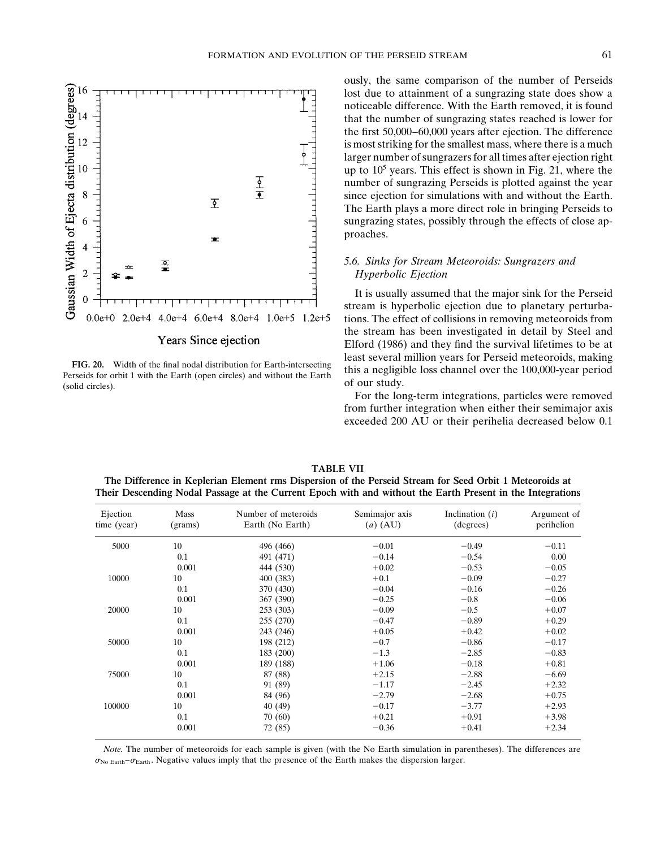

ously, the same comparison of the number of Perseids lost due to attainment of a sungrazing state does show a noticeable difference. With the Earth removed, it is found that the number of sungrazing states reached is lower for the first 50,000–60,000 years after ejection. The difference is most striking for the smallest mass, where there is a much larger number of sungrazers for all times after ejection right up to 10<sup>5</sup> years. This effect is shown in Fig. 21, where the number of sungrazing Perseids is plotted against the year since ejection for simulations with and without the Earth. The Earth plays a more direct role in bringing Perseids to sungrazing states, possibly through the effects of close approaches.

# *5.6. Sinks for Stream Meteoroids: Sungrazers and Hyperbolic Ejection*

It is usually assumed that the major sink for the Perseid stream is hyperbolic ejection due to planetary perturbations. The effect of collisions in removing meteoroids from the stream has been investigated in detail by Steel and Elford (1986) and they find the survival lifetimes to be at FIG. 20. Width of the final nodal distribution for Earth-intersecting<br>Perseids for orbit 1 with the Earth (open circles) and without the Earth<br>(solid circles).<br>(solid circles).

For the long-term integrations, particles were removed from further integration when either their semimajor axis exceeded 200 AU or their perihelia decreased below 0.1

### **TABLE VII**

**The Difference in Keplerian Element rms Dispersion of the Perseid Stream for Seed Orbit 1 Meteoroids at Their Descending Nodal Passage at the Current Epoch with and without the Earth Present in the Integrations**

| Ejection<br>time (year) | Mass<br>(grams) | Number of meteroids<br>Earth (No Earth) | Semimajor axis<br>$(a)$ (AU) | Inclination $(i)$<br>(degrees) | Argument of<br>perihelion |
|-------------------------|-----------------|-----------------------------------------|------------------------------|--------------------------------|---------------------------|
| 5000                    | 10              | 496 (466)                               | $-0.01$                      | $-0.49$                        | $-0.11$                   |
|                         | 0.1             | 491 (471)                               | $-0.14$                      | $-0.54$                        | 0.00                      |
|                         | 0.001           | 444 (530)                               | $+0.02$                      | $-0.53$                        | $-0.05$                   |
| 10000                   | 10              | 400 (383)                               | $+0.1$                       | $-0.09$                        | $-0.27$                   |
|                         | 0.1             | 370 (430)                               | $-0.04$                      | $-0.16$                        | $-0.26$                   |
|                         | 0.001           | 367 (390)                               | $-0.25$                      | $-0.8$                         | $-0.06$                   |
| 20000                   | 10              | 253 (303)                               | $-0.09$                      | $-0.5$                         | $+0.07$                   |
|                         | 0.1             | 255 (270)                               | $-0.47$                      | $-0.89$                        | $+0.29$                   |
|                         | 0.001           | 243 (246)                               | $+0.05$                      | $+0.42$                        | $+0.02$                   |
| 50000                   | 10              | 198 (212)                               | $-0.7$                       | $-0.86$                        | $-0.17$                   |
|                         | 0.1             | 183 (200)                               | $-1.3$                       | $-2.85$                        | $-0.83$                   |
|                         | 0.001           | 189 (188)                               | $+1.06$                      | $-0.18$                        | $+0.81$                   |
| 75000                   | 10              | 87 (88)                                 | $+2.15$                      | $-2.88$                        | $-6.69$                   |
|                         | 0.1             | 91 (89)                                 | $-1.17$                      | $-2.45$                        | $+2.32$                   |
|                         | 0.001           | 84 (96)                                 | $-2.79$                      | $-2.68$                        | $+0.75$                   |
| 100000                  | 10              | 40 (49)                                 | $-0.17$                      | $-3.77$                        | $+2.93$                   |
|                         | 0.1             | 70(60)                                  | $+0.21$                      | $+0.91$                        | $+3.98$                   |
|                         | 0.001           | 72 (85)                                 | $-0.36$                      | $+0.41$                        | $+2.34$                   |

*Note.* The number of meteoroids for each sample is given (with the No Earth simulation in parentheses). The differences are  $\sigma_{\text{No Earth}}-\sigma_{\text{Earth}}$ . Negative values imply that the presence of the Earth makes the dispersion larger.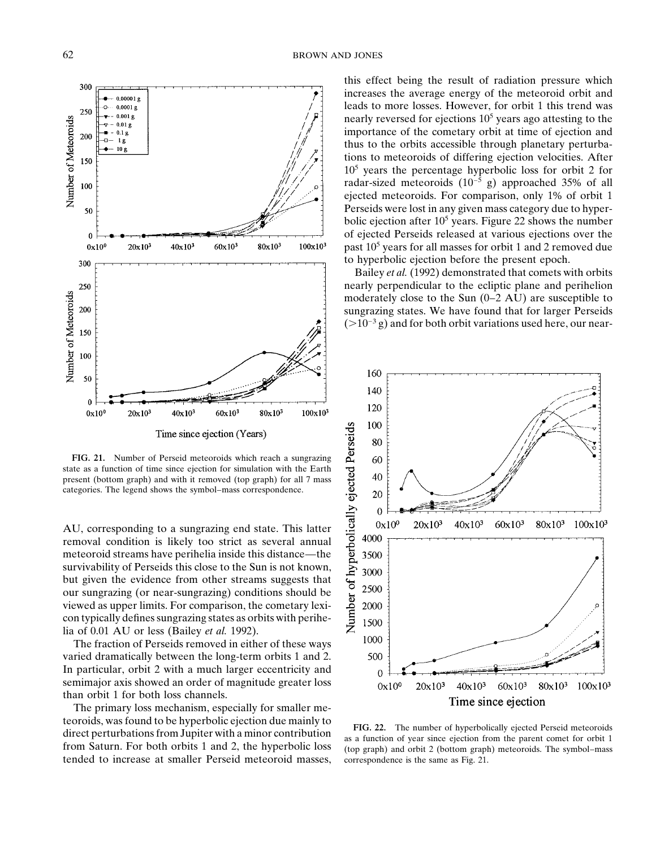62 BROWN AND JONES



**FIG. 21.** Number of Perseid meteoroids which reach a sungrazing state as a function of time since ejection for simulation with the Earth present (bottom graph) and with it removed (top graph) for all 7 mass categories. The legend shows the symbol–mass correspondence.

AU, corresponding to a sungrazing end state. This latter removal condition is likely too strict as several annual meteoroid streams have perihelia inside this distance—the survivability of Perseids this close to the Sun is not known, but given the evidence from other streams suggests that our sungrazing (or near-sungrazing) conditions should be viewed as upper limits. For comparison, the cometary lexicon typically defines sungrazing states as orbits with perihelia of 0.01 AU or less (Bailey *et al.* 1992).

The fraction of Perseids removed in either of these ways varied dramatically between the long-term orbits 1 and 2. In particular, orbit 2 with a much larger eccentricity and semimajor axis showed an order of magnitude greater loss than orbit 1 for both loss channels.

The primary loss mechanism, especially for smaller meteoroids, was found to be hyperbolic ejection due mainly to<br>direct perturbations from Jupiter with a minor contribution<br>as a function of year since ejection from the parent comet for orbit 1 tended to increase at smaller Perseid meteoroid masses, correspondence is the same as Fig. 21.

this effect being the result of radiation pressure which increases the average energy of the meteoroid orbit and leads to more losses. However, for orbit 1 this trend was nearly reversed for ejections 10<sup>5</sup> years ago attesting to the importance of the cometary orbit at time of ejection and thus to the orbits accessible through planetary perturbations to meteoroids of differing ejection velocities. After 10<sup>5</sup> years the percentage hyperbolic loss for orbit 2 for radar-sized meteoroids  $(10^{-5} \text{ g})$  approached 35% of all ejected meteoroids. For comparison, only 1% of orbit 1 Perseids were lost in any given mass category due to hyperbolic ejection after  $10<sup>5</sup>$  years. Figure 22 shows the number of ejected Perseids released at various ejections over the past 105 years for all masses for orbit 1 and 2 removed due to hyperbolic ejection before the present epoch.

Bailey *et al.* (1992) demonstrated that comets with orbits nearly perpendicular to the ecliptic plane and perihelion moderately close to the Sun (0–2 AU) are susceptible to sungrazing states. We have found that for larger Perseids  $(>10^{-3}$  g) and for both orbit variations used here, our near-



from Saturn. For both orbits 1 and 2, the hyperbolic loss (top graph) and orbit 2 (bottom graph) meteoroids. The symbol–mass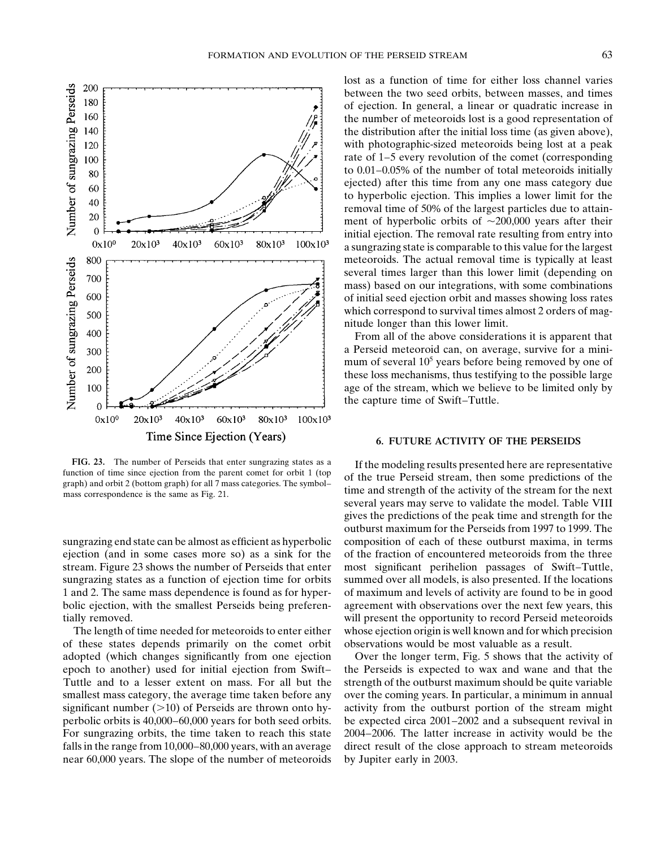

FIG. 23. The number of Perseids that enter sungrazing states as a<br>function of time since ejection from the parent comet for orbit 1 (top<br>graph) and orbit 2 (bottom graph) for all 7 mass categories. The symbol-<br>content of t

ejection (and in some cases more so) as a sink for the of the fraction of encountered meteoroids from the three stream. Figure 23 shows the number of Perseids that enter most significant perihelion passages of Swift–Tuttle, sungrazing states as a function of ejection time for orbits summed over all models, is also presented. If the locations 1 and 2. The same mass dependence is found as for hyper- of maximum and levels of activity are found to be in good bolic ejection, with the smallest Perseids being preferen- agreement with observations over the next few years, this tially removed. will present the opportunity to record Perseid meteoroids

of these states depends primarily on the comet orbit observations would be most valuable as a result. adopted (which changes significantly from one ejection Over the longer term, Fig. 5 shows that the activity of near 60,000 years. The slope of the number of meteoroids by Jupiter early in 2003.

lost as a function of time for either loss channel varies between the two seed orbits, between masses, and times of ejection. In general, a linear or quadratic increase in the number of meteoroids lost is a good representation of the distribution after the initial loss time (as given above), with photographic-sized meteoroids being lost at a peak rate of 1–5 every revolution of the comet (corresponding to 0.01–0.05% of the number of total meteoroids initially ejected) after this time from any one mass category due to hyperbolic ejection. This implies a lower limit for the removal time of 50% of the largest particles due to attainment of hyperbolic orbits of  $\sim$ 200,000 years after their initial ejection. The removal rate resulting from entry into a sungrazing state is comparable to this value for the largest meteoroids. The actual removal time is typically at least several times larger than this lower limit (depending on mass) based on our integrations, with some combinations of initial seed ejection orbit and masses showing loss rates which correspond to survival times almost 2 orders of magnitude longer than this lower limit.

From all of the above considerations it is apparent that a Perseid meteoroid can, on average, survive for a minimum of several  $10<sup>5</sup>$  years before being removed by one of these loss mechanisms, thus testifying to the possible large age of the stream, which we believe to be limited only by the capture time of Swift–Tuttle.

# **6. FUTURE ACTIVITY OF THE PERSEIDS**

graph) and orbit 2 (bottom graph) for an  $\prime$  mass categories. The symbor-<br>mass correspondence is the same as Fig. 21. several years may serve to validate the model. Table VIII gives the predictions of the peak time and strength for the outburst maximum for the Perseids from 1997 to 1999. The sungrazing end state can be almost as efficient as hyperbolic composition of each of these outburst maxima, in terms The length of time needed for meteoroids to enter either whose ejection origin is well known and for which precision

epoch to another) used for initial ejection from Swift– the Perseids is expected to wax and wane and that the Tuttle and to a lesser extent on mass. For all but the strength of the outburst maximum should be quite variable smallest mass category, the average time taken before any over the coming years. In particular, a minimum in annual significant number  $(>10)$  of Perseids are thrown onto hy- activity from the outburst portion of the stream might perbolic orbits is 40,000–60,000 years for both seed orbits. be expected circa 2001–2002 and a subsequent revival in For sungrazing orbits, the time taken to reach this state 2004–2006. The latter increase in activity would be the falls in the range from 10,000–80,000 years, with an average direct result of the close approach to stream meteoroids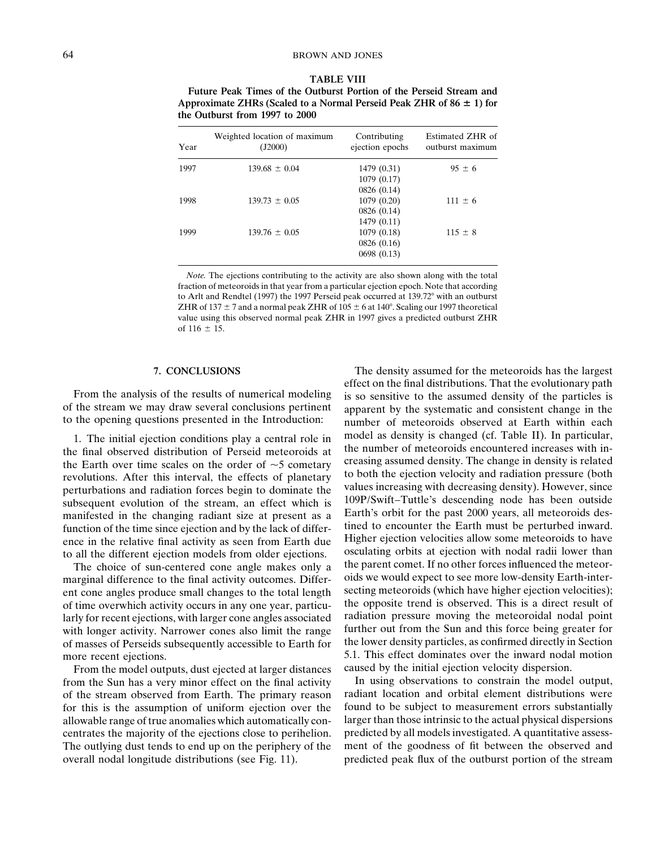### **TABLE VIII**

**Future Peak Times of the Outburst Portion of the Perseid Stream and** Approximate ZHRs (Scaled to a Normal Perseid Peak ZHR of  $86 \pm 1$ ) for **the Outburst from 1997 to 2000**

| Year | Weighted location of maximum<br>(J2000) | Contributing<br>ejection epochs | Estimated ZHR of<br>outburst maximum |
|------|-----------------------------------------|---------------------------------|--------------------------------------|
| 1997 | $139.68 \pm 0.04$                       | 1479 (0.31)                     | $95 \pm 6$                           |
|      |                                         | 1079(0.17)                      |                                      |
|      |                                         | 0826(0.14)                      |                                      |
| 1998 | $139.73 \pm 0.05$                       | 1079(0.20)                      | $111 \pm 6$                          |
|      |                                         | 0826(0.14)                      |                                      |
|      |                                         | 1479 (0.11)                     |                                      |
| 1999 | $139.76 \pm 0.05$                       | 1079 (0.18)                     | $115 \pm 8$                          |
|      |                                         | 0826(0.16)                      |                                      |
|      |                                         | 0698 (0.13)                     |                                      |
|      |                                         |                                 |                                      |

*Note.* The ejections contributing to the activity are also shown along with the total fraction of meteoroids in that year from a particular ejection epoch. Note that according to Arlt and Rendtel (1997) the 1997 Perseid peak occurred at  $139.72^{\circ}$  with an outburst ZHR of 137  $\pm$  7 and a normal peak ZHR of 105  $\pm$  6 at 140°. Scaling our 1997 theoretical value using this observed normal peak ZHR in 1997 gives a predicted outburst ZHR of  $116 \pm 15$ .

of masses of Perseids subsequently accessible to Earth for

From the model outputs, dust ejected at larger distances caused by the initial ejection velocity dispersion. from the Sun has a very minor effect on the final activity In using observations to constrain the model output,

**7. CONCLUSIONS** The density assumed for the meteoroids has the largest effect on the final distributions. That the evolutionary path From the analysis of the results of numerical modeling is so sensitive to the assumed density of the particles is of the stream we may draw several conclusions pertinent apparent by the systematic and consistent change in of the stream we may draw several conclusions pertinent apparent by the systematic and consistent change in the<br>to the opening questions presented in the Introduction: number of meteoroids observed at Earth within each number of meteoroids observed at Earth within each 1. The initial ejection conditions play a central role in model as density is changed (cf. Table II). In particular, the final observed distribution of Perseid meteoroids at the number of meteoroids encountered increases the Earth over time scales on the order of  $\sim$  5 cometary<br>revolutions. After this interval, the effects of planetary<br>perturbations and radiation forces begin to dominate the values increasing with decreasing density). Ho manifested in the changing radiant size at present as a Earth's orbit for the past 2000 years, all meteoroids des-<br>function of the time since ejection and by the lack of differ-<br>ined to encounter the Earth must be perturbe function of the time since ejection and by the lack of differ-<br>eined to encounter the Earth must be perturbed inward.<br>ence in the relative final activity as seen from Earth due<br>to all the different eiection models from old to all the different ejection models from older ejections. osculating orbits at ejection with nodal radii lower than<br>The choice of sun-centered cone angle makes only a the parent comet. If no other forces influenced the me The choice of sun-centered cone angle makes only a the parent comet. If no other forces influenced the meteor-<br>arginal difference to the final activity outcomes. Differ-<br>oids we would expect to see more low-density Earth-i marginal difference to the final activity outcomes. Differ-<br>oids we would expect to see more low-density Earth-inter-<br>ent cone angles produce small changes to the total length secting meteoroids (which have higher ejection ent cone angles produce small changes to the total length secting meteoroids (which have higher ejection velocities);<br>of time overwhich activity occurs in any one year, particu-<br>the opposite trend is observed. This is a di of time overwhich activity occurs in any one year, particu-<br>larger the opposite trend is observed. This is a direct result of<br>larger cone angles associated radiation pressure moving the meteoroidal nodal point larly for recent ejections, with larger cone angles associated radiation pressure moving the meteoroidal nodal point with longer activity. Narrower cones also limit the range further out from the Sun and this force being g with longer activity. Narrower cones also limit the range further out from the Sun and this force being greater for<br>of masses of Perseids subsequently accessible to Earth for the lower density particles, as confirmed direc more recent ejections. 5.1. This effect dominates over the inward nodal motion

of the stream observed from Earth. The primary reason radiant location and orbital element distributions were for this is the assumption of uniform ejection over the found to be subject to measurement errors substantially allowable range of true anomalies which automatically con- larger than those intrinsic to the actual physical dispersions centrates the majority of the ejections close to perihelion. predicted by all models investigated. A quantitative assess-The outlying dust tends to end up on the periphery of the ment of the goodness of fit between the observed and overall nodal longitude distributions (see Fig. 11). predicted peak flux of the outburst portion of the stream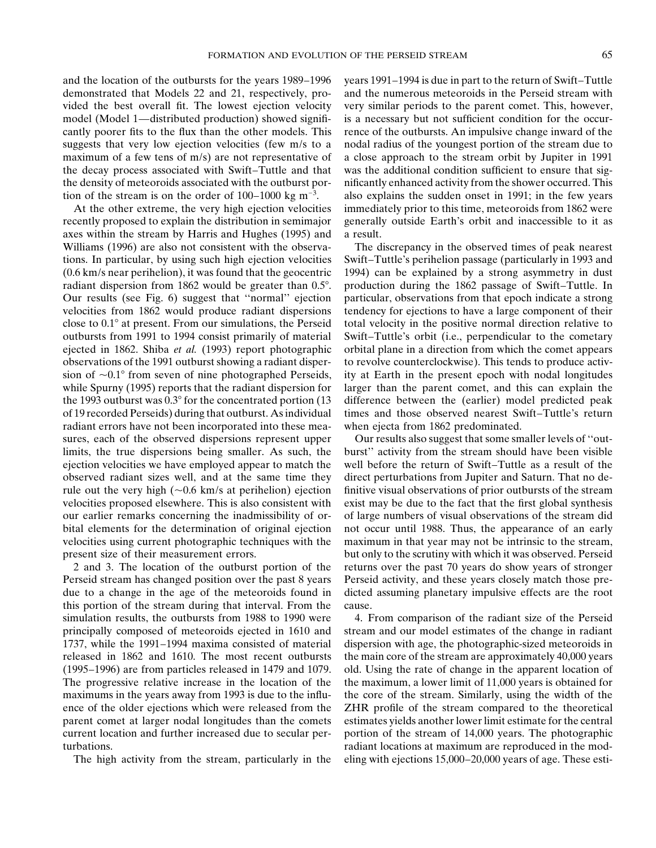demonstrated that Models 22 and 21, respectively, pro- and the numerous meteoroids in the Perseid stream with vided the best overall fit. The lowest ejection velocity very similar periods to the parent comet. This, however, model (Model 1—distributed production) showed signifi- is a necessary but not sufficient condition for the occurcantly poorer fits to the flux than the other models. This rence of the outbursts. An impulsive change inward of the suggests that very low ejection velocities (few m/s to a nodal radius of the youngest portion of the stream due to maximum of a few tens of m/s) are not representative of a close approach to the stream orbit by Jupiter in 1991 the decay process associated with Swift–Tuttle and that was the additional condition sufficient to ensure that sig-

recently proposed to explain the distribution in semimajor generally outside Earth's orbit and inaccessible to it as axes within the stream by Harris and Hughes (1995) and a result. Williams (1996) are also not consistent with the observa-<br>The discrepancy in the observed times of peak nearest tions. In particular, by using such high ejection velocities Swift–Tuttle's perihelion passage (particularly in 1993 and (0.6 km/s near perihelion), it was found that the geocentric 1994) can be explained by a strong asymmetry in dust radiant dispersion from 1862 would be greater than 0.5°. production during the 1862 passage of Swift–Tuttle. In Our results (see Fig. 6) suggest that ''normal'' ejection particular, observations from that epoch indicate a strong velocities from 1862 would produce radiant dispersions tendency for ejections to have a large component of their close to 0.1° at present. From our simulations, the Perseid total velocity in the positive normal direction relative to outbursts from 1991 to 1994 consist primarily of material Swift–Tuttle's orbit (i.e., perpendicular to the cometary ejected in 1862. Shiba *et al.* (1993) report photographic orbital plane in a direction from which the comet appears observations of the 1991 outburst showing a radiant disper- to revolve counterclockwise). This tends to produce activsion of  $\sim 0.1^{\circ}$  from seven of nine photographed Perseids, ity at Earth in the present epoch with nodal longitudes while Spurny (1995) reports that the radiant dispersion for larger than the parent comet, and this can explain the the 1993 outburst was  $0.3^{\circ}$  for the concentrated portion (13 difference between the (earlier) model predicted peak of 19 recorded Perseids) during that outburst. As individual times and those observed nearest Swift–Tuttle's return radiant errors have not been incorporated into these mea- when ejecta from 1862 predominated. sures, each of the observed dispersions represent upper Our results also suggest that some smaller levels of "outlimits, the true dispersions being smaller. As such, the burst'' activity from the stream should have been visible ejection velocities we have employed appear to match the well before the return of Swift–Tuttle as a result of the observed radiant sizes well, and at the same time they direct perturbations from Jupiter and Saturn. That no derule out the very high  $(\sim 0.6 \text{ km/s at perihelion})$  ejection finitive visual observations of prior outbursts of the stream velocities proposed elsewhere. This is also consistent with exist may be due to the fact that the first global synthesis our earlier remarks concerning the inadmissibility of or- of large numbers of visual observations of the stream did bital elements for the determination of original ejection not occur until 1988. Thus, the appearance of an early velocities using current photographic techniques with the maximum in that year may not be intrinsic to the stream, present size of their measurement errors. but only to the scrutiny with which it was observed. Perseid

Perseid stream has changed position over the past 8 years Perseid activity, and these years closely match those predue to a change in the age of the meteoroids found in dicted assuming planetary impulsive effects are the root this portion of the stream during that interval. From the cause. simulation results, the outbursts from 1988 to 1990 were 4. From comparison of the radiant size of the Perseid principally composed of meteoroids ejected in 1610 and stream and our model estimates of the change in radiant 1737, while the 1991–1994 maxima consisted of material dispersion with age, the photographic-sized meteoroids in released in 1862 and 1610. The most recent outbursts the main core of the stream are approximately 40,000 years (1995–1996) are from particles released in 1479 and 1079. old. Using the rate of change in the apparent location of The progressive relative increase in the location of the the maximum, a lower limit of 11,000 years is obtained for maximums in the years away from 1993 is due to the influ- the core of the stream. Similarly, using the width of the ence of the older ejections which were released from the ZHR profile of the stream compared to the theoretical parent comet at larger nodal longitudes than the comets estimates yields another lower limit estimate for the central current location and further increased due to secular per- portion of the stream of 14,000 years. The photographic

The high activity from the stream, particularly in the eling with ejections 15,000–20,000 years of age. These esti-

and the location of the outbursts for the years 1989–1996 years 1991–1994 is due in part to the return of Swift–Tuttle the density of meteoroids associated with the outburst por- nificantly enhanced activity from the shower occurred. This tion of the stream is on the order of 100–1000 kg  $m^{-3}$ . also explains the sudden onset in 1991; in the few years At the other extreme, the very high ejection velocities immediately prior to this time, meteoroids from 1862 were

2 and 3. The location of the outburst portion of the returns over the past 70 years do show years of stronger

turbations. The model of the model of the model of the model of the model of the model of the model of the model of the model of the model of the model of the model of the model of the model of the model of the model of th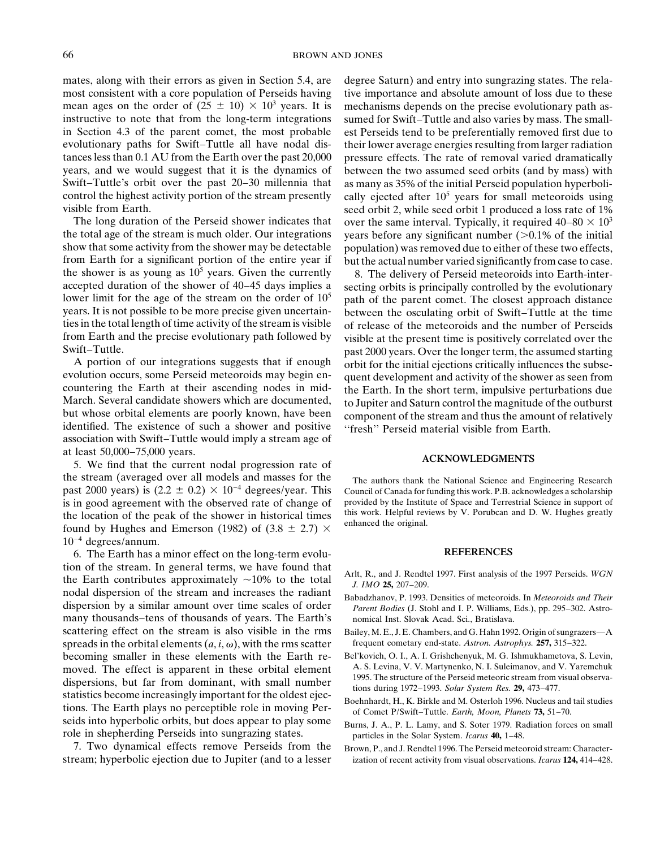most consistent with a core population of Perseids having tive importance and absolute amount of loss due to these mean ages on the order of  $(25 \pm 10) \times 10^3$  years. It is mechanisms depends on the precise evolutionary path asinstructive to note that from the long-term integrations sumed for Swift–Tuttle and also varies by mass. The smallin Section 4.3 of the parent comet, the most probable est Perseids tend to be preferentially removed first due to evolutionary paths for Swift–Tuttle all have nodal dis-<br>their lower average energies resulting from larger radiation tances less than 0.1 AU from the Earth over the past 20,000 pressure effects. The rate of removal varied dramatically years, and we would suggest that it is the dynamics of between the two assumed seed orbits (and by mass) with Swift–Tuttle's orbit over the past 20–30 millennia that as many as 35% of the initial Perseid population hyperbolicontrol the highest activity portion of the stream presently cally ejected after  $10<sup>5</sup>$  years for small meteoroids using

the total age of the stream is much older. Our integrations years before any significant number ( $>0.1\%$  of the initial show that some activity from the shower may be detectable population) was removed due to either of t from Earth for a significant portion of the entire year if but the actual number varied significantly from case to case.<br>the shower is as young as  $10^5$  years. Given the currently a The delivery of Perseid meteoroids int the shower is as young as  $10^5$  years. Given the currently as Section of Perseid meteoroids into Earth-inter-<br>accepted duration of the shower of  $40-45$  days implies a secting orbits is principally controlled by the evol lower limit for the age of the stream on the order of  $10^5$  path of the parent comet. The closest approach distance years. It is not possible to be more precise given uncertain-<br>between the osculating orbit of Swift-Tutt years. It is not possible to be more precise given uncertain-<br>ties in the total length of time activity of the stream is visible<br>of release of the meteoroids and the number of Perseids from Earth and the precise evolutionary path followed by visible at the present time is positively correlated over the Swift-Tuttle.

association with Swift–Tuttle would imply a stream age of at least 50,000–75,000 years. **ACKNOWLEDGMENTS** 5. We find that the current nodal progression rate of

the stream (averaged over all models and masses for the The authors thank the National Science and Engineering Research past 2000 years) is  $(2.2 \pm 0.2) \times 10^{-4}$  degrees/year. This Council of Canada for funding this work. P.B. acknowledges a scholarship is in good agreement with the observed rate of change of provided by the Institute of Space and Terrestrial Science in support of the location of the neak of the shower in historical times this work. Helpful reviews by V. the location of the peak of the shower in historical times the work. Helpful review found by Hughes and Emerson (1982) of (3.8  $\pm$  2.7)  $\times$  $10^{-4}$  degrees/annum.

6. The Earth has a minor effect on the long-term evolu- **REFERENCES** tion of the stream. In general terms, we have found that Arlt, R., and J. Rendtel 1997. First analysis of the 1997 Perseids. *WGN* to the total *J. IMO* **25**, 207–209. nodal dispersion of the stream and increases the radiant Babadzhanov, P. 1993. Densities of meteoroids. In *Meteoroids and Their* dispersion by a similar amount over time scales of order *Parent Bodies* (J. Stohl and I. P. Williams, Eds.), pp. 295–302. Astromany thousands–tens of thousands of years. The Earth's nomical Inst. Slovak Acad. Sci., Bratislava. scattering effect on the stream is also visible in the rms Bailey, M. E., J. E. Chambers, and G. Hahn 1992. Origin of sungrazers—A spreads in the orbital elements  $(a, i, \omega)$ , with the rms scatter frequent cometary end-state. *Astron. Astrophys.* **257,** 315–322. becoming smaller in these elements with the Earth re-<br>moved The effect is annarent in these orbital element A. S. Levina, V. V. Martynenko, N. I. Suleimanov, and V. Yaremchuk moved. The effect is apparent in these orbital element A. S. Levina, V. V. Martynenko, N. I. Suleimanov, and V. Yaremchuk<br>disparsions, but for from dominant, with small number 1995. The structure of the Perseid meteoric st dispersions, but far from dominant, with small number<br>statistics become increasingly important for the oldest ejec-<br>tions. The Earth plays no perceptible role in moving Per-<br>seids into hyperbolic orbits, but does appear to role in shepherding Perseids into sungrazing states.<br>
The Solar System. *Icarus* **40,** 1–48.<br>
The Perseid meters in the Solar System. *Icarus* **40,** 1–48.<br>
The Perseid meters in the Solar System. *Icarus* **40,** 1–48.

mates, along with their errors as given in Section 5.4, are degree Saturn) and entry into sungrazing states. The relavisible from Earth.<br>The long duration of the Perseid shower indicates that over the same interval. Typically, it required  $40-80 \times 10^3$ The long duration of the Perseid shower indicates that over the same interval. Typically, it required  $40-80 \times 10^3$  the total age of the stream is much older. Our integrations vears before any significant number (>0.1% o population) was removed due to either of these two effects,

secting orbits is principally controlled by the evolutionary of release of the meteoroids and the number of Perseids wift–Tuttle.<br>A portion of our integrations suggests that if enough orbit for the initial elections critically influences the subse-A portion of our integrations suggests that if enough orbit for the initial ejections critically influences the subse-<br>evolution occurs, some Perseid meteoroids may begin en-<br>quent development and activity of the shower as evolution occurs, some Perseid meteoroids may begin en-<br>countering the Earth at their ascending nodes in mid-<br>the Earth. In the short term, impulsive perturbations due countering the Earth at their ascending nodes in mid-<br>March. Several candidate showers which are documented, to Jupiter and Saturn control the magnitude of the outburst March. Several candidate showers which are documented, to Jupiter and Saturn control the magnitude of the outburst<br>but whose orbital elements are poorly known, have been component of the stream and thus the amount of relat but whose orbital elements are poorly known, have been component of the stream and thus the amount of relatively identified. The existence of such a shower and positive ''fresh'' Perseid material visible from Earth.

- 
- 
- 
- 
- 
- Burns, J. A., P. L. Lamy, and S. Soter 1979. Radiation forces on small
- Brown, P., and J. Rendtel 1996. The Perseid meteoroid stream: Characterstream; hyperbolic ejection due to Jupiter (and to a lesser ization of recent activity from visual observations. *Icarus* **124,** 414–428.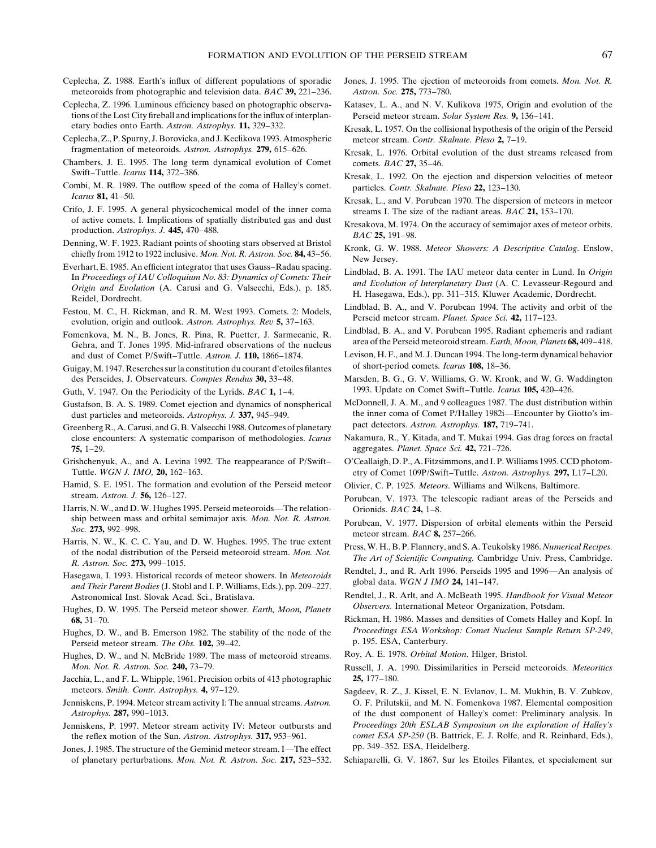- meteoroids from photographic and television data. *BAC* **39,** 221–236. *Astron. Soc.* **275,** 773–780.
- Ceplecha, Z. 1996. Luminous efficiency based on photographic observa- Katasev, L. A., and N. V. Kulikova 1975, Origin and evolution of the tions of the Lost City fireball and implications for the influx of interplan- Perseid meteor stream. *Solar System Res.* **9,** 136–141. etary bodies onto Earth. *Astron. Astrophys.* **11,** 329–332. Kresak, L. 1957. On the collisional hypothesis of the origin of the Perseid
- Ceplecha, Z., P. Spurny, J. Borovicka, and J. Keclikova 1993. Atmospheric meteor stream. *Contr. Skalnate. Pleso* **2,** 7–19.
- Chambers, J. E. 1995. The long term dynamical evolution of Comet comets. *BAC* 27, 35–46.<br>
Swift-Tuttle. *Icarus* 114, 372–386.
- Combi, M. R. 1989. The outflow speed of the coma of Halley's comet. particles. *Contr. Skalnate. Pleso* **22,** 123–130.
- Crifo, J. F. 1995. A general physicochemical model of the inner coma streams I. The size of the radiant areas. *BAC* **21,** 153–170.
- 
- Denning, W. F. 1923. Radiant points of shooting stars observed at Bristol<br>
chiefly from 1912 to 1922 inclusive. Mon. Not. R. Astron. Soc. 84, 43–56.<br>
Everhart, E. 1985. An efficient integrator that uses Gauss-Radau spacing
- Festou, M. C., H. Rickman, and R. M. West 1993. Comets. 2: Models, Lindblad, B. A., and V. Porubcan 1994. The activity and orbit of the evolution, origin and outlook. Astron. Astrophys. Rev 5, 37–163.<br>
Fermein P. Jones, B.
- Fomenkova, M. N., B. Jones, R. Pina, R. Puetter, J. Sarmecanic, R. Gehra, and T. Jones 1995. Mid-infrared observations of the nucleus area of the Perseid meteoroid stream. *Earth, Moon, Planets* **68,** 409–418. and dust of Comet P/Swift–Tuttle. *Astron. J.* **110,** 1866–1874. Levison, H. F., and M. J. Duncan 1994. The long-term dynamical behavior
- Guigay, M. 1947. Reserches sur la constitution du courant d'etoiles filantes of short-period comets. *Icarus* **108,** 18–36. des Perseides, J. Observateurs. *Comptes Rendus* **30,** 33–48. Marsden, B. G., G. V. Williams, G. W. Kronk, and W. G. Waddington
- 
- 
- Greenberg R., A. Carusi, and G. B. Valsecchi 1988. Outcomes of planetary pact detectors. *Astron. Astrophys.* **187,** 719–741.<br>close encounters: A systematic comparison of methodologies. *Icarus* Nakamura, R., Y. Kitada, an close encounters: A systematic comparison of methodologies. *Icarus* **75,** 1–29. aggregates. *Planet. Space Sci.* **42,** 721–726.
- Grishchenyuk, A., and A. Levina 1992. The reappearance of P/Swift- O'Ceallaigh, D.P., A. Fitzsimmons, and I.P. Williams 1995. CCD photom-
- Hamid, S. E. 1951. The formation and evolution of the Perseid meteor Olivier, C. P. 1925. *Meteors*. Williams and Wilkens, Baltimore. stream. *Astron. J.* **56,** 126–127. Porubcan, V. 1973. The telescopic radiant areas of the Perseids and
- Harris, N. W., and D. W. Hughes 1995. Perseid meteoroids—The relation-<br>
ship between mass and orbital semimajor axis. *Mon. Not. R. Astron.* Perubaan, N. 1977. Dispo
- aris, iv. w., K. C. C. Tau, and D. w. Highes. 1995. The true extent Press, W. H., B. P. Flannery, and S. A. Teukolsky 1986. Numerical Recipes.<br>
The Art of Scientific Computing. Cambridge Univ. Press, Cambridge.<br>
R. Astron.
- Rendtel, J., and R. Arlt 1996. Perseids 1995. Historical records of meteor showers. In *Meteoroids* Rendtel, J., and R. Arlt 1996. Perseids 1996. Perseids 1996. Perseids 1996. Perseids 1996. Perseids 1996. Perseids 1996. P and Their Parent Bodies (J. Stohl and I. P. Williams, Eds.), pp. 209–227.
- Hughes, D. W. 1995. The Perseid meteor shower. *Earth, Moon, Planets* **68,** 31–70. Rickman, H. 1986. Masses and densities of Comets Halley and Kopf. In
- Perseid meteor stream. *The Obs.* 102, 39-42.
- Hughes, D. W., and N. McBride 1989. The mass of meteoroid streams. Roy, A. E. 1978. *Orbital Motion*. Hilger, Bristol. *Mon. Not. R. Astron. Soc.* **240,** 73–79. Russell, J. A. 1990. Dissimilarities in Perseid meteoroids. *Meteoritics*
- Jacchia, L., and F. L. Whipple, 1961. Precision orbits of 413 photographic **25,** 177–180. meteors. *Smith. Contr. Astrophys.* **4,** 97-129. Sagdeev, R. Z., J. Kissel, E. N. Evlanov, L. M. Mukhin, B. V. Zubkov,
- 
- 
- Jones, J. 1985. The structure of the Geminid meteor stream. I—The effect pp. 349–352. ESA, Heidelberg. of planetary perturbations. *Mon. Not. R. Astron. Soc.* **217,** 523–532. Schiaparelli, G. V. 1867. Sur les Etoiles Filantes, et specialement sur
- Ceplecha, Z. 1988. Earth's influx of different populations of sporadic Jones, J. 1995. The ejection of meteoroids from comets. *Mon. Not. R.*
	-
	-
	- Kresak, L. 1976. Orbital evolution of the dust streams released from
	- Kresak, L. 1992. On the ejection and dispersion velocities of meteor
	- Kresak, L., and V. Porubcan 1970. The dispersion of meteors in meteor
- of active coincis. I. Implications of spatially distributed gas and dust<br>production. Astrophys. J. 445, 470–488.<br>Denning, W. F. 1923. Radiant points of shooting stars observed at Bristol  $BAC$  25, 191–98.
	-
	-
	-
	-
	-
- Guth, V. 1947. On the Periodicity of the Lyrids. *BAC* 1, 1-4. 1993. Update on Comet Swift-Tuttle. *Icarus* 105, 420-426.
- Gustafson, B. A. S. 1989. Comet ejection and dynamics of nonspherical McDonnell, J. A. M., and 9 colleagues 1987. The dust distribution within dust particles and meteoroids. *Astrophys. J.* **337,** 945–949. the inner coma of Comet P/Halley 1982i—Encounter by Giotto's im-
	-
	- Tuttle. *WGN J. IMO,* **20,** 162–163. etry of Comet 109P/Swift–Tuttle. *Astron. Astrophys.* **297,** L17–L20.
		-
		-
- ship between mass and orbital semimajor axis. *Mon. Not. R. Astron.* Porubcan, V. 1977. Dispersion of orbital elements within the Perseid meteor stream. *BAC* **8,** 257–266. Harris, N. W., K. C. C. Yau, and D. W. Hughes. 19
	-
	-
	- Astronomical Inst. Slovak Acad. Sci., Bratislava. Rendtel, J., R. Arlt, and A. McBeath 1995. *Handbook for Visual Meteor*<br>Rendtel, J., R. Arlt, and A. McBeath 1995. *Handbook for Visual Meteor*<br>Diservers. International Met
- Hughes, D. W., and B. Emerson 1982. The stability of the node of the *Proceedings ESA Workshop: Comet Nucleus Sample Return SP-249*,<br>Perseid meteor stream *The Obs* 102, 39–42<br>p. 195. ESA, Canterbury.
	-
	-
- Jenniskens, P. 1994. Meteor stream activity I: The annual streams. *Astron.* O. F. Prilutskii, and M. N. Fomenkova 1987. Elemental composition *Astrophys.* **287,** 990–1013. of the dust component of Halley's comet: Preliminary analysis. In Jenniskens, P. 1997. Meteor stream activity IV: Meteor outbursts and *Proceedings 20th ESLAB Symposium on the exploration of Halley's* the reflex motion of the Sun. *Astron. Astrophys.* **317,** 953–961. *comet ESA SP-250* (B. Battrick, E. J. Rolfe, and R. Reinhard, Eds.),
	-